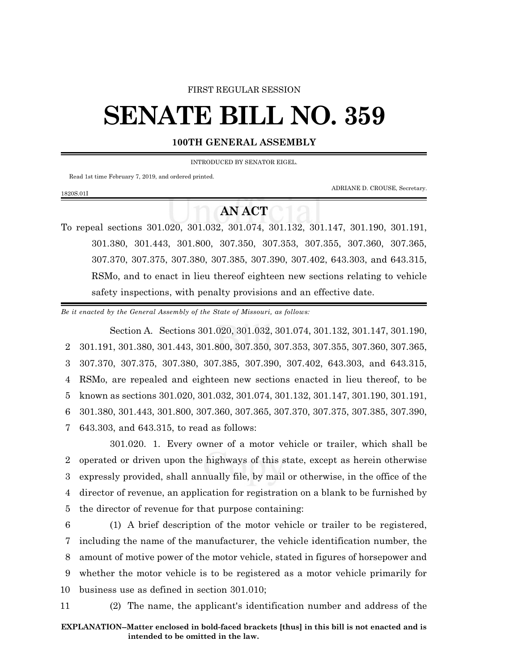## FIRST REGULAR SESSION

## **SENATE BILL NO. 359**

## **100TH GENERAL ASSEMBLY**

INTRODUCED BY SENATOR EIGEL.

Read 1st time February 7, 2019, and ordered printed.

1820S.01I

ADRIANE D. CROUSE, Secretary.

## **AN ACT**

To repeal sections 301.020, 301.032, 301.074, 301.132, 301.147, 301.190, 301.191, 301.380, 301.443, 301.800, 307.350, 307.353, 307.355, 307.360, 307.365, 307.370, 307.375, 307.380, 307.385, 307.390, 307.402, 643.303, and 643.315, RSMo, and to enact in lieu thereof eighteen new sections relating to vehicle safety inspections, with penalty provisions and an effective date.

*Be it enacted by the General Assembly of the State of Missouri, as follows:*

Section A. Sections 301.020, 301.032, 301.074, 301.132, 301.147, 301.190, 301.191, 301.380, 301.443, 301.800, 307.350, 307.353, 307.355, 307.360, 307.365, 307.370, 307.375, 307.380, 307.385, 307.390, 307.402, 643.303, and 643.315, RSMo, are repealed and eighteen new sections enacted in lieu thereof, to be known as sections 301.020, 301.032, 301.074, 301.132, 301.147, 301.190, 301.191, 301.380, 301.443, 301.800, 307.360, 307.365, 307.370, 307.375, 307.385, 307.390, 643.303, and 643.315, to read as follows:

301.020. 1. Every owner of a motor vehicle or trailer, which shall be operated or driven upon the highways of this state, except as herein otherwise expressly provided, shall annually file, by mail or otherwise, in the office of the director of revenue, an application for registration on a blank to be furnished by the director of revenue for that purpose containing:

 (1) A brief description of the motor vehicle or trailer to be registered, including the name of the manufacturer, the vehicle identification number, the amount of motive power of the motor vehicle, stated in figures of horsepower and whether the motor vehicle is to be registered as a motor vehicle primarily for business use as defined in section 301.010;

11 (2) The name, the applicant's identification number and address of the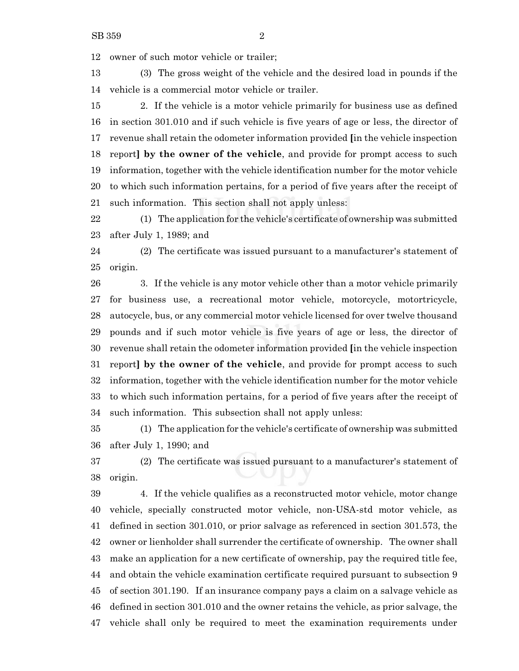owner of such motor vehicle or trailer;

 (3) The gross weight of the vehicle and the desired load in pounds if the vehicle is a commercial motor vehicle or trailer.

 2. If the vehicle is a motor vehicle primarily for business use as defined in section 301.010 and if such vehicle is five years of age or less, the director of revenue shall retain the odometer information provided **[**in the vehicle inspection report**] by the owner of the vehicle**, and provide for prompt access to such information, together with the vehicle identification number for the motor vehicle to which such information pertains, for a period of five years after the receipt of such information. This section shall not apply unless:

 (1) The application for the vehicle's certificate of ownership was submitted after July 1, 1989; and

 (2) The certificate was issued pursuant to a manufacturer's statement of origin.

 3. If the vehicle is any motor vehicle other than a motor vehicle primarily for business use, a recreational motor vehicle, motorcycle, motortricycle, autocycle, bus, or any commercial motor vehicle licensed for over twelve thousand pounds and if such motor vehicle is five years of age or less, the director of revenue shall retain the odometer information provided **[**in the vehicle inspection report**] by the owner of the vehicle**, and provide for prompt access to such information, together with the vehicle identification number for the motor vehicle to which such information pertains, for a period of five years after the receipt of such information. This subsection shall not apply unless:

 (1) The application for the vehicle's certificate of ownership was submitted after July 1, 1990; and

 (2) The certificate was issued pursuant to a manufacturer's statement of origin.

 4. If the vehicle qualifies as a reconstructed motor vehicle, motor change vehicle, specially constructed motor vehicle, non-USA-std motor vehicle, as defined in section 301.010, or prior salvage as referenced in section 301.573, the owner or lienholder shall surrender the certificate of ownership. The owner shall make an application for a new certificate of ownership, pay the required title fee, and obtain the vehicle examination certificate required pursuant to subsection 9 of section 301.190. If an insurance company pays a claim on a salvage vehicle as defined in section 301.010 and the owner retains the vehicle, as prior salvage, the vehicle shall only be required to meet the examination requirements under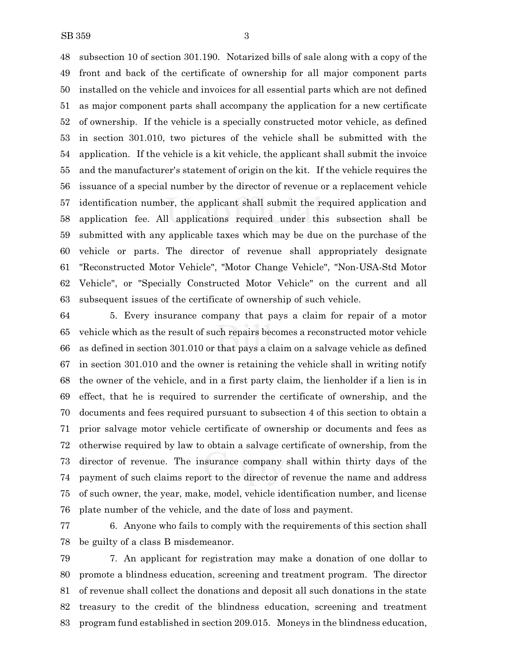subsection 10 of section 301.190. Notarized bills of sale along with a copy of the front and back of the certificate of ownership for all major component parts installed on the vehicle and invoices for all essential parts which are not defined as major component parts shall accompany the application for a new certificate of ownership. If the vehicle is a specially constructed motor vehicle, as defined in section 301.010, two pictures of the vehicle shall be submitted with the application. If the vehicle is a kit vehicle, the applicant shall submit the invoice and the manufacturer's statement of origin on the kit. If the vehicle requires the issuance of a special number by the director of revenue or a replacement vehicle identification number, the applicant shall submit the required application and application fee. All applications required under this subsection shall be submitted with any applicable taxes which may be due on the purchase of the vehicle or parts. The director of revenue shall appropriately designate "Reconstructed Motor Vehicle", "Motor Change Vehicle", "Non-USA-Std Motor Vehicle", or "Specially Constructed Motor Vehicle" on the current and all subsequent issues of the certificate of ownership of such vehicle.

 5. Every insurance company that pays a claim for repair of a motor vehicle which as the result of such repairs becomes a reconstructed motor vehicle as defined in section 301.010 or that pays a claim on a salvage vehicle as defined in section 301.010 and the owner is retaining the vehicle shall in writing notify the owner of the vehicle, and in a first party claim, the lienholder if a lien is in effect, that he is required to surrender the certificate of ownership, and the documents and fees required pursuant to subsection 4 of this section to obtain a prior salvage motor vehicle certificate of ownership or documents and fees as otherwise required by law to obtain a salvage certificate of ownership, from the director of revenue. The insurance company shall within thirty days of the payment of such claims report to the director of revenue the name and address of such owner, the year, make, model, vehicle identification number, and license plate number of the vehicle, and the date of loss and payment.

 6. Anyone who fails to comply with the requirements of this section shall be guilty of a class B misdemeanor.

 7. An applicant for registration may make a donation of one dollar to promote a blindness education, screening and treatment program. The director of revenue shall collect the donations and deposit all such donations in the state treasury to the credit of the blindness education, screening and treatment program fund established in section 209.015. Moneys in the blindness education,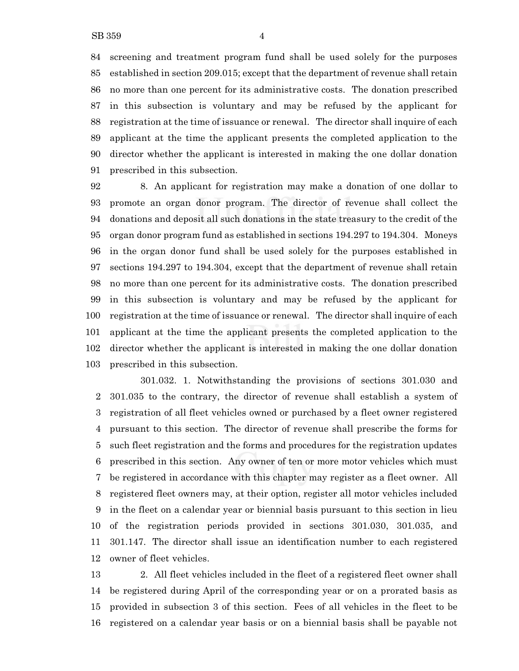screening and treatment program fund shall be used solely for the purposes established in section 209.015; except that the department of revenue shall retain no more than one percent for its administrative costs. The donation prescribed in this subsection is voluntary and may be refused by the applicant for registration at the time of issuance or renewal. The director shall inquire of each applicant at the time the applicant presents the completed application to the director whether the applicant is interested in making the one dollar donation prescribed in this subsection.

 8. An applicant for registration may make a donation of one dollar to promote an organ donor program. The director of revenue shall collect the donations and deposit all such donations in the state treasury to the credit of the organ donor program fund as established in sections 194.297 to 194.304. Moneys in the organ donor fund shall be used solely for the purposes established in sections 194.297 to 194.304, except that the department of revenue shall retain no more than one percent for its administrative costs. The donation prescribed in this subsection is voluntary and may be refused by the applicant for registration at the time of issuance or renewal. The director shall inquire of each applicant at the time the applicant presents the completed application to the director whether the applicant is interested in making the one dollar donation prescribed in this subsection.

301.032. 1. Notwithstanding the provisions of sections 301.030 and 301.035 to the contrary, the director of revenue shall establish a system of registration of all fleet vehicles owned or purchased by a fleet owner registered pursuant to this section. The director of revenue shall prescribe the forms for such fleet registration and the forms and procedures for the registration updates prescribed in this section. Any owner of ten or more motor vehicles which must be registered in accordance with this chapter may register as a fleet owner. All registered fleet owners may, at their option, register all motor vehicles included in the fleet on a calendar year or biennial basis pursuant to this section in lieu of the registration periods provided in sections 301.030, 301.035, and 301.147. The director shall issue an identification number to each registered owner of fleet vehicles.

 2. All fleet vehicles included in the fleet of a registered fleet owner shall be registered during April of the corresponding year or on a prorated basis as provided in subsection 3 of this section. Fees of all vehicles in the fleet to be registered on a calendar year basis or on a biennial basis shall be payable not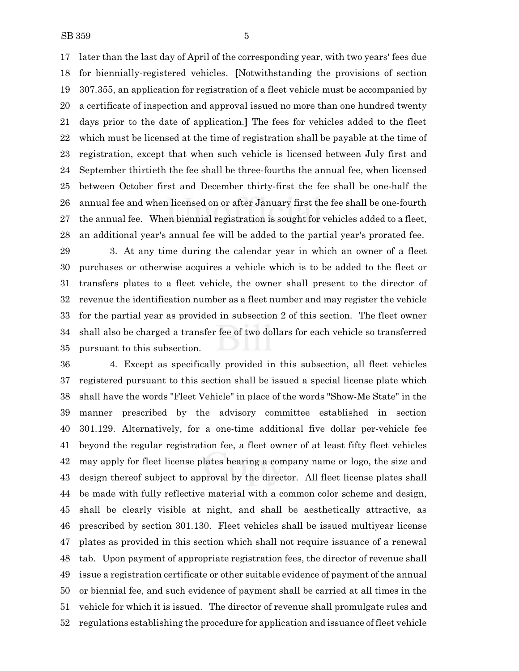later than the last day of April of the corresponding year, with two years' fees due for biennially-registered vehicles. **[**Notwithstanding the provisions of section 307.355, an application for registration of a fleet vehicle must be accompanied by a certificate of inspection and approval issued no more than one hundred twenty days prior to the date of application.**]** The fees for vehicles added to the fleet which must be licensed at the time of registration shall be payable at the time of registration, except that when such vehicle is licensed between July first and September thirtieth the fee shall be three-fourths the annual fee, when licensed between October first and December thirty-first the fee shall be one-half the annual fee and when licensed on or after January first the fee shall be one-fourth the annual fee. When biennial registration is sought for vehicles added to a fleet, an additional year's annual fee will be added to the partial year's prorated fee.

 3. At any time during the calendar year in which an owner of a fleet purchases or otherwise acquires a vehicle which is to be added to the fleet or transfers plates to a fleet vehicle, the owner shall present to the director of revenue the identification number as a fleet number and may register the vehicle for the partial year as provided in subsection 2 of this section. The fleet owner shall also be charged a transfer fee of two dollars for each vehicle so transferred pursuant to this subsection.

 4. Except as specifically provided in this subsection, all fleet vehicles registered pursuant to this section shall be issued a special license plate which shall have the words "Fleet Vehicle" in place of the words "Show-Me State" in the manner prescribed by the advisory committee established in section 301.129. Alternatively, for a one-time additional five dollar per-vehicle fee beyond the regular registration fee, a fleet owner of at least fifty fleet vehicles may apply for fleet license plates bearing a company name or logo, the size and design thereof subject to approval by the director. All fleet license plates shall be made with fully reflective material with a common color scheme and design, shall be clearly visible at night, and shall be aesthetically attractive, as prescribed by section 301.130. Fleet vehicles shall be issued multiyear license plates as provided in this section which shall not require issuance of a renewal tab. Upon payment of appropriate registration fees, the director of revenue shall issue a registration certificate or other suitable evidence of payment of the annual or biennial fee, and such evidence of payment shall be carried at all times in the vehicle for which it is issued. The director of revenue shall promulgate rules and regulations establishing the procedure for application and issuance of fleet vehicle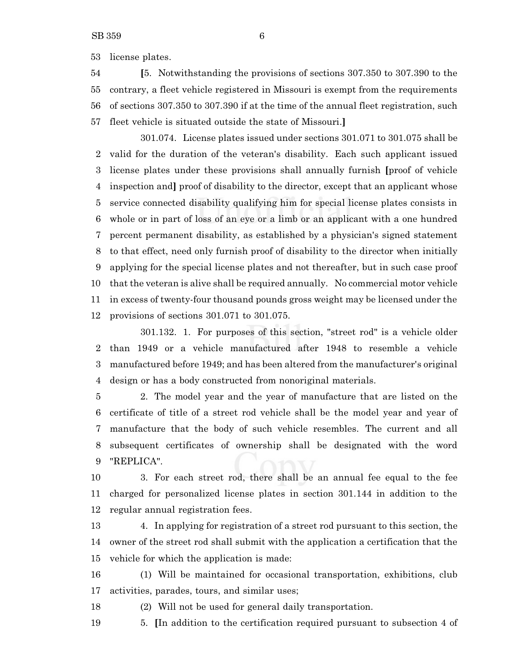license plates.

 **[**5. Notwithstanding the provisions of sections 307.350 to 307.390 to the contrary, a fleet vehicle registered in Missouri is exempt from the requirements of sections 307.350 to 307.390 if at the time of the annual fleet registration, such fleet vehicle is situated outside the state of Missouri.**]**

301.074. License plates issued under sections 301.071 to 301.075 shall be valid for the duration of the veteran's disability. Each such applicant issued license plates under these provisions shall annually furnish **[**proof of vehicle inspection and**]** proof of disability to the director, except that an applicant whose service connected disability qualifying him for special license plates consists in whole or in part of loss of an eye or a limb or an applicant with a one hundred percent permanent disability, as established by a physician's signed statement to that effect, need only furnish proof of disability to the director when initially applying for the special license plates and not thereafter, but in such case proof that the veteran is alive shall be required annually. No commercial motor vehicle in excess of twenty-four thousand pounds gross weight may be licensed under the provisions of sections 301.071 to 301.075.

301.132. 1. For purposes of this section, "street rod" is a vehicle older than 1949 or a vehicle manufactured after 1948 to resemble a vehicle manufactured before 1949; and has been altered from the manufacturer's original design or has a body constructed from nonoriginal materials.

 2. The model year and the year of manufacture that are listed on the certificate of title of a street rod vehicle shall be the model year and year of manufacture that the body of such vehicle resembles. The current and all subsequent certificates of ownership shall be designated with the word "REPLICA".

 3. For each street rod, there shall be an annual fee equal to the fee charged for personalized license plates in section 301.144 in addition to the regular annual registration fees.

 4. In applying for registration of a street rod pursuant to this section, the owner of the street rod shall submit with the application a certification that the vehicle for which the application is made:

 (1) Will be maintained for occasional transportation, exhibitions, club activities, parades, tours, and similar uses;

(2) Will not be used for general daily transportation.

5. **[**In addition to the certification required pursuant to subsection 4 of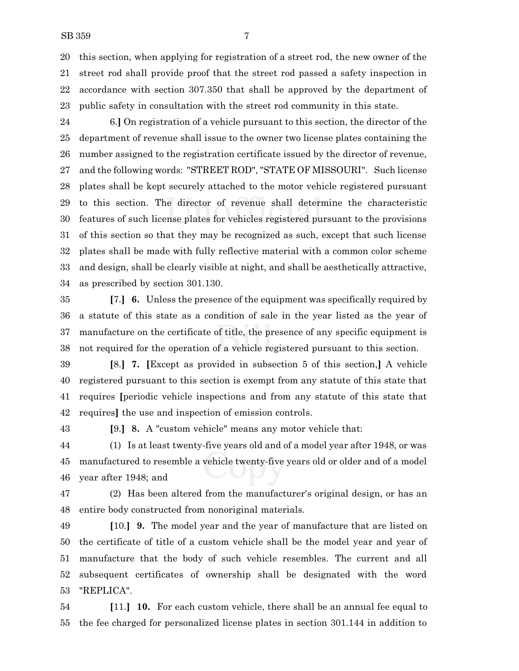this section, when applying for registration of a street rod, the new owner of the street rod shall provide proof that the street rod passed a safety inspection in accordance with section 307.350 that shall be approved by the department of public safety in consultation with the street rod community in this state.

 6.**]** On registration of a vehicle pursuant to this section, the director of the department of revenue shall issue to the owner two license plates containing the number assigned to the registration certificate issued by the director of revenue, and the following words: "STREET ROD", "STATE OF MISSOURI". Such license plates shall be kept securely attached to the motor vehicle registered pursuant to this section. The director of revenue shall determine the characteristic features of such license plates for vehicles registered pursuant to the provisions of this section so that they may be recognized as such, except that such license plates shall be made with fully reflective material with a common color scheme and design, shall be clearly visible at night, and shall be aesthetically attractive, as prescribed by section 301.130.

 **[**7.**] 6.** Unless the presence of the equipment was specifically required by a statute of this state as a condition of sale in the year listed as the year of manufacture on the certificate of title, the presence of any specific equipment is not required for the operation of a vehicle registered pursuant to this section.

- **[**8.**] 7. [**Except as provided in subsection 5 of this section,**]** A vehicle registered pursuant to this section is exempt from any statute of this state that requires **[**periodic vehicle inspections and from any statute of this state that requires**]** the use and inspection of emission controls.
- 

**[**9.**] 8.** A "custom vehicle" means any motor vehicle that:

 (1) Is at least twenty-five years old and of a model year after 1948, or was manufactured to resemble a vehicle twenty-five years old or older and of a model year after 1948; and

 (2) Has been altered from the manufacturer's original design, or has an entire body constructed from nonoriginal materials.

 **[**10.**] 9.** The model year and the year of manufacture that are listed on the certificate of title of a custom vehicle shall be the model year and year of manufacture that the body of such vehicle resembles. The current and all subsequent certificates of ownership shall be designated with the word "REPLICA".

 **[**11.**] 10.** For each custom vehicle, there shall be an annual fee equal to the fee charged for personalized license plates in section 301.144 in addition to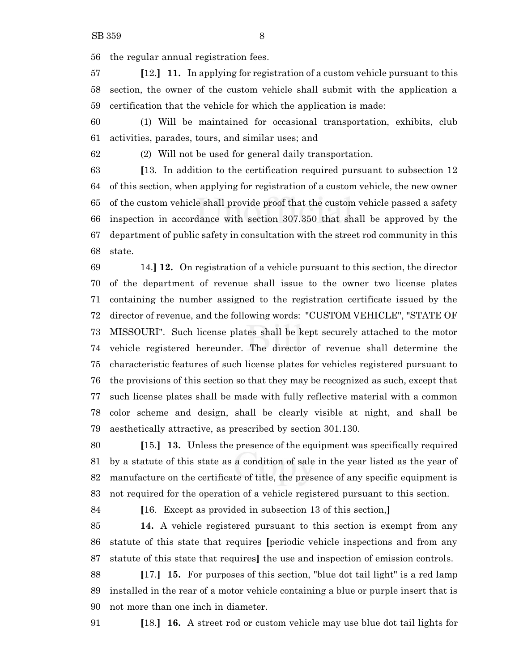the regular annual registration fees.

 **[**12.**] 11.** In applying for registration of a custom vehicle pursuant to this section, the owner of the custom vehicle shall submit with the application a certification that the vehicle for which the application is made:

 (1) Will be maintained for occasional transportation, exhibits, club activities, parades, tours, and similar uses; and

(2) Will not be used for general daily transportation.

 **[**13. In addition to the certification required pursuant to subsection 12 of this section, when applying for registration of a custom vehicle, the new owner of the custom vehicle shall provide proof that the custom vehicle passed a safety inspection in accordance with section 307.350 that shall be approved by the department of public safety in consultation with the street rod community in this state.

 14.**] 12.** On registration of a vehicle pursuant to this section, the director of the department of revenue shall issue to the owner two license plates containing the number assigned to the registration certificate issued by the director of revenue, and the following words: "CUSTOM VEHICLE", "STATE OF MISSOURI". Such license plates shall be kept securely attached to the motor vehicle registered hereunder. The director of revenue shall determine the characteristic features of such license plates for vehicles registered pursuant to the provisions of this section so that they may be recognized as such, except that such license plates shall be made with fully reflective material with a common color scheme and design, shall be clearly visible at night, and shall be aesthetically attractive, as prescribed by section 301.130.

 **[**15.**] 13.** Unless the presence of the equipment was specifically required by a statute of this state as a condition of sale in the year listed as the year of manufacture on the certificate of title, the presence of any specific equipment is not required for the operation of a vehicle registered pursuant to this section.

**[**16. Except as provided in subsection 13 of this section,**]**

 **14.** A vehicle registered pursuant to this section is exempt from any statute of this state that requires **[**periodic vehicle inspections and from any statute of this state that requires**]** the use and inspection of emission controls.

 **[**17.**] 15.** For purposes of this section, "blue dot tail light" is a red lamp installed in the rear of a motor vehicle containing a blue or purple insert that is not more than one inch in diameter.

**[**18.**] 16.** A street rod or custom vehicle may use blue dot tail lights for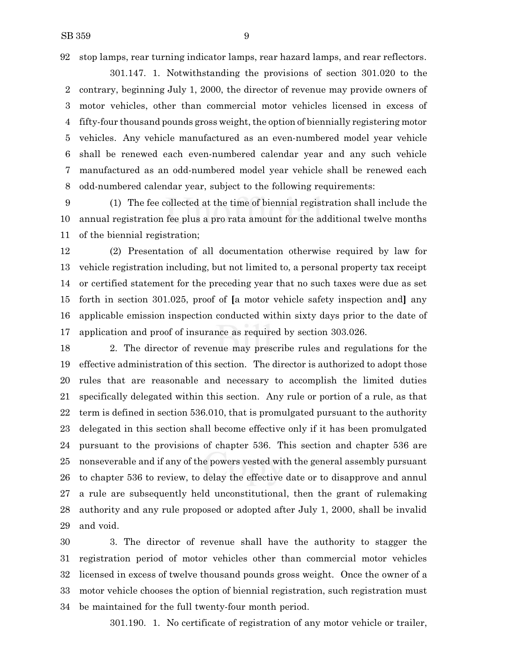stop lamps, rear turning indicator lamps, rear hazard lamps, and rear reflectors.

301.147. 1. Notwithstanding the provisions of section 301.020 to the contrary, beginning July 1, 2000, the director of revenue may provide owners of motor vehicles, other than commercial motor vehicles licensed in excess of fifty-four thousand pounds gross weight, the option of biennially registering motor vehicles. Any vehicle manufactured as an even-numbered model year vehicle shall be renewed each even-numbered calendar year and any such vehicle manufactured as an odd-numbered model year vehicle shall be renewed each odd-numbered calendar year, subject to the following requirements:

 (1) The fee collected at the time of biennial registration shall include the annual registration fee plus a pro rata amount for the additional twelve months of the biennial registration;

 (2) Presentation of all documentation otherwise required by law for vehicle registration including, but not limited to, a personal property tax receipt or certified statement for the preceding year that no such taxes were due as set forth in section 301.025, proof of **[**a motor vehicle safety inspection and**]** any applicable emission inspection conducted within sixty days prior to the date of application and proof of insurance as required by section 303.026.

 2. The director of revenue may prescribe rules and regulations for the effective administration of this section. The director is authorized to adopt those rules that are reasonable and necessary to accomplish the limited duties specifically delegated within this section. Any rule or portion of a rule, as that term is defined in section 536.010, that is promulgated pursuant to the authority delegated in this section shall become effective only if it has been promulgated pursuant to the provisions of chapter 536. This section and chapter 536 are nonseverable and if any of the powers vested with the general assembly pursuant to chapter 536 to review, to delay the effective date or to disapprove and annul a rule are subsequently held unconstitutional, then the grant of rulemaking authority and any rule proposed or adopted after July 1, 2000, shall be invalid and void.

 3. The director of revenue shall have the authority to stagger the registration period of motor vehicles other than commercial motor vehicles licensed in excess of twelve thousand pounds gross weight. Once the owner of a motor vehicle chooses the option of biennial registration, such registration must be maintained for the full twenty-four month period.

301.190. 1. No certificate of registration of any motor vehicle or trailer,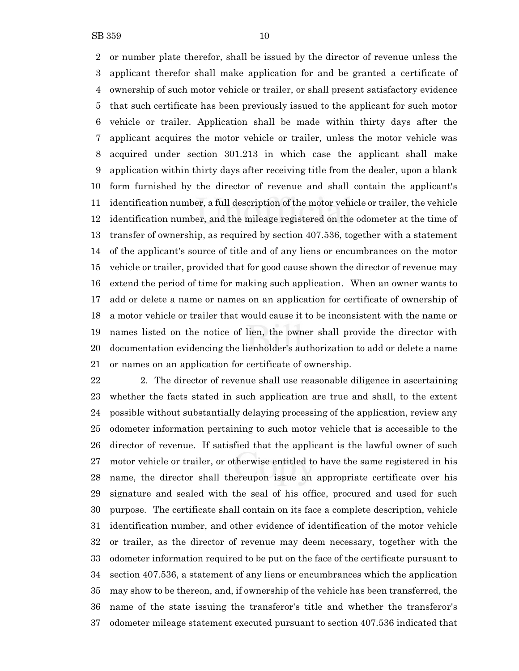or number plate therefor, shall be issued by the director of revenue unless the applicant therefor shall make application for and be granted a certificate of ownership of such motor vehicle or trailer, or shall present satisfactory evidence that such certificate has been previously issued to the applicant for such motor vehicle or trailer. Application shall be made within thirty days after the applicant acquires the motor vehicle or trailer, unless the motor vehicle was acquired under section 301.213 in which case the applicant shall make application within thirty days after receiving title from the dealer, upon a blank form furnished by the director of revenue and shall contain the applicant's identification number, a full description of the motor vehicle or trailer, the vehicle identification number, and the mileage registered on the odometer at the time of transfer of ownership, as required by section 407.536, together with a statement of the applicant's source of title and of any liens or encumbrances on the motor vehicle or trailer, provided that for good cause shown the director of revenue may extend the period of time for making such application. When an owner wants to add or delete a name or names on an application for certificate of ownership of a motor vehicle or trailer that would cause it to be inconsistent with the name or names listed on the notice of lien, the owner shall provide the director with documentation evidencing the lienholder's authorization to add or delete a name

or names on an application for certificate of ownership.

 2. The director of revenue shall use reasonable diligence in ascertaining whether the facts stated in such application are true and shall, to the extent possible without substantially delaying processing of the application, review any odometer information pertaining to such motor vehicle that is accessible to the director of revenue. If satisfied that the applicant is the lawful owner of such motor vehicle or trailer, or otherwise entitled to have the same registered in his name, the director shall thereupon issue an appropriate certificate over his signature and sealed with the seal of his office, procured and used for such purpose. The certificate shall contain on its face a complete description, vehicle identification number, and other evidence of identification of the motor vehicle or trailer, as the director of revenue may deem necessary, together with the odometer information required to be put on the face of the certificate pursuant to section 407.536, a statement of any liens or encumbrances which the application may show to be thereon, and, if ownership of the vehicle has been transferred, the name of the state issuing the transferor's title and whether the transferor's odometer mileage statement executed pursuant to section 407.536 indicated that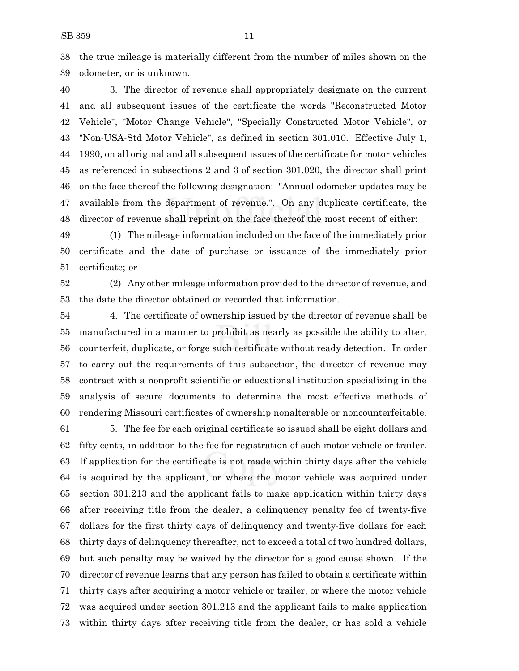the true mileage is materially different from the number of miles shown on the odometer, or is unknown.

 3. The director of revenue shall appropriately designate on the current and all subsequent issues of the certificate the words "Reconstructed Motor Vehicle", "Motor Change Vehicle", "Specially Constructed Motor Vehicle", or "Non-USA-Std Motor Vehicle", as defined in section 301.010. Effective July 1, 1990, on all original and all subsequent issues of the certificate for motor vehicles as referenced in subsections 2 and 3 of section 301.020, the director shall print on the face thereof the following designation: "Annual odometer updates may be available from the department of revenue.". On any duplicate certificate, the director of revenue shall reprint on the face thereof the most recent of either:

 (1) The mileage information included on the face of the immediately prior certificate and the date of purchase or issuance of the immediately prior certificate; or

 (2) Any other mileage information provided to the director of revenue, and the date the director obtained or recorded that information.

 4. The certificate of ownership issued by the director of revenue shall be manufactured in a manner to prohibit as nearly as possible the ability to alter, counterfeit, duplicate, or forge such certificate without ready detection. In order to carry out the requirements of this subsection, the director of revenue may contract with a nonprofit scientific or educational institution specializing in the analysis of secure documents to determine the most effective methods of rendering Missouri certificates of ownership nonalterable or noncounterfeitable.

 5. The fee for each original certificate so issued shall be eight dollars and fifty cents, in addition to the fee for registration of such motor vehicle or trailer. If application for the certificate is not made within thirty days after the vehicle is acquired by the applicant, or where the motor vehicle was acquired under section 301.213 and the applicant fails to make application within thirty days after receiving title from the dealer, a delinquency penalty fee of twenty-five dollars for the first thirty days of delinquency and twenty-five dollars for each thirty days of delinquency thereafter, not to exceed a total of two hundred dollars, but such penalty may be waived by the director for a good cause shown. If the director of revenue learns that any person has failed to obtain a certificate within thirty days after acquiring a motor vehicle or trailer, or where the motor vehicle was acquired under section 301.213 and the applicant fails to make application within thirty days after receiving title from the dealer, or has sold a vehicle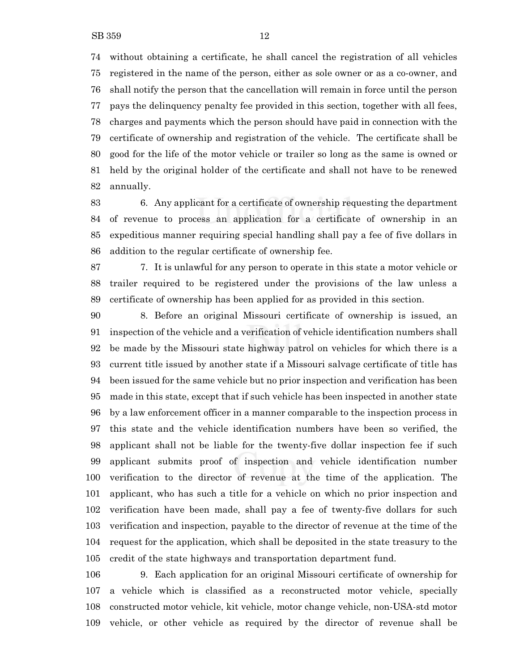without obtaining a certificate, he shall cancel the registration of all vehicles registered in the name of the person, either as sole owner or as a co-owner, and shall notify the person that the cancellation will remain in force until the person pays the delinquency penalty fee provided in this section, together with all fees, charges and payments which the person should have paid in connection with the certificate of ownership and registration of the vehicle. The certificate shall be good for the life of the motor vehicle or trailer so long as the same is owned or held by the original holder of the certificate and shall not have to be renewed annually.

 6. Any applicant for a certificate of ownership requesting the department of revenue to process an application for a certificate of ownership in an expeditious manner requiring special handling shall pay a fee of five dollars in addition to the regular certificate of ownership fee.

 7. It is unlawful for any person to operate in this state a motor vehicle or trailer required to be registered under the provisions of the law unless a certificate of ownership has been applied for as provided in this section.

 8. Before an original Missouri certificate of ownership is issued, an inspection of the vehicle and a verification of vehicle identification numbers shall be made by the Missouri state highway patrol on vehicles for which there is a current title issued by another state if a Missouri salvage certificate of title has been issued for the same vehicle but no prior inspection and verification has been made in this state, except that if such vehicle has been inspected in another state by a law enforcement officer in a manner comparable to the inspection process in this state and the vehicle identification numbers have been so verified, the applicant shall not be liable for the twenty-five dollar inspection fee if such applicant submits proof of inspection and vehicle identification number verification to the director of revenue at the time of the application. The applicant, who has such a title for a vehicle on which no prior inspection and verification have been made, shall pay a fee of twenty-five dollars for such verification and inspection, payable to the director of revenue at the time of the request for the application, which shall be deposited in the state treasury to the credit of the state highways and transportation department fund.

 9. Each application for an original Missouri certificate of ownership for a vehicle which is classified as a reconstructed motor vehicle, specially constructed motor vehicle, kit vehicle, motor change vehicle, non-USA-std motor vehicle, or other vehicle as required by the director of revenue shall be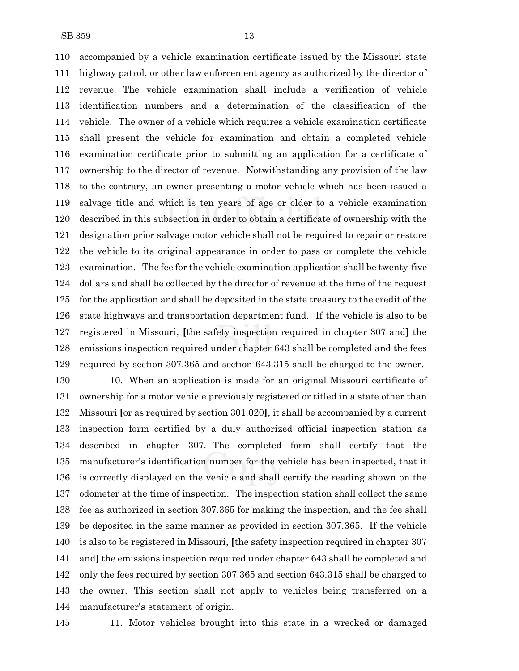accompanied by a vehicle examination certificate issued by the Missouri state highway patrol, or other law enforcement agency as authorized by the director of revenue. The vehicle examination shall include a verification of vehicle identification numbers and a determination of the classification of the vehicle. The owner of a vehicle which requires a vehicle examination certificate shall present the vehicle for examination and obtain a completed vehicle examination certificate prior to submitting an application for a certificate of ownership to the director of revenue. Notwithstanding any provision of the law to the contrary, an owner presenting a motor vehicle which has been issued a salvage title and which is ten years of age or older to a vehicle examination described in this subsection in order to obtain a certificate of ownership with the designation prior salvage motor vehicle shall not be required to repair or restore the vehicle to its original appearance in order to pass or complete the vehicle examination. The fee for the vehicle examination application shall be twenty-five dollars and shall be collected by the director of revenue at the time of the request for the application and shall be deposited in the state treasury to the credit of the state highways and transportation department fund. If the vehicle is also to be registered in Missouri, **[**the safety inspection required in chapter 307 and**]** the emissions inspection required under chapter 643 shall be completed and the fees required by section 307.365 and section 643.315 shall be charged to the owner.

 10. When an application is made for an original Missouri certificate of ownership for a motor vehicle previously registered or titled in a state other than Missouri **[**or as required by section 301.020**]**, it shall be accompanied by a current inspection form certified by a duly authorized official inspection station as described in chapter 307. The completed form shall certify that the manufacturer's identification number for the vehicle has been inspected, that it is correctly displayed on the vehicle and shall certify the reading shown on the odometer at the time of inspection. The inspection station shall collect the same fee as authorized in section 307.365 for making the inspection, and the fee shall be deposited in the same manner as provided in section 307.365. If the vehicle is also to be registered in Missouri, **[**the safety inspection required in chapter 307 and**]** the emissions inspection required under chapter 643 shall be completed and only the fees required by section 307.365 and section 643.315 shall be charged to the owner. This section shall not apply to vehicles being transferred on a manufacturer's statement of origin.

11. Motor vehicles brought into this state in a wrecked or damaged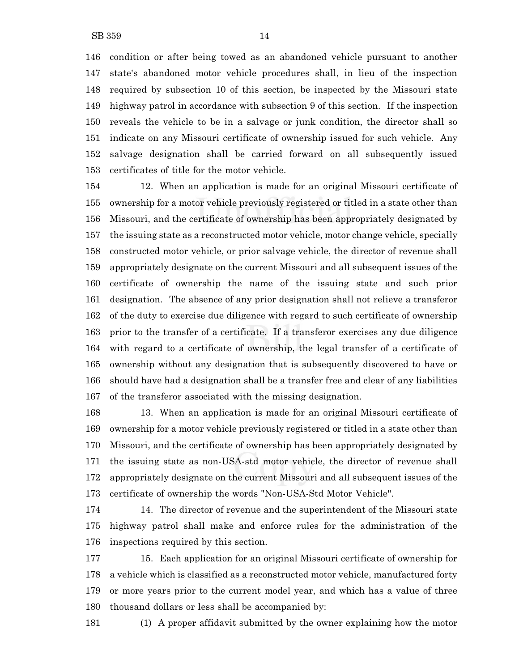condition or after being towed as an abandoned vehicle pursuant to another state's abandoned motor vehicle procedures shall, in lieu of the inspection required by subsection 10 of this section, be inspected by the Missouri state highway patrol in accordance with subsection 9 of this section. If the inspection reveals the vehicle to be in a salvage or junk condition, the director shall so indicate on any Missouri certificate of ownership issued for such vehicle. Any salvage designation shall be carried forward on all subsequently issued certificates of title for the motor vehicle.

 12. When an application is made for an original Missouri certificate of ownership for a motor vehicle previously registered or titled in a state other than Missouri, and the certificate of ownership has been appropriately designated by the issuing state as a reconstructed motor vehicle, motor change vehicle, specially constructed motor vehicle, or prior salvage vehicle, the director of revenue shall appropriately designate on the current Missouri and all subsequent issues of the certificate of ownership the name of the issuing state and such prior designation. The absence of any prior designation shall not relieve a transferor of the duty to exercise due diligence with regard to such certificate of ownership prior to the transfer of a certificate. If a transferor exercises any due diligence with regard to a certificate of ownership, the legal transfer of a certificate of ownership without any designation that is subsequently discovered to have or should have had a designation shall be a transfer free and clear of any liabilities of the transferor associated with the missing designation.

 13. When an application is made for an original Missouri certificate of ownership for a motor vehicle previously registered or titled in a state other than Missouri, and the certificate of ownership has been appropriately designated by the issuing state as non-USA-std motor vehicle, the director of revenue shall appropriately designate on the current Missouri and all subsequent issues of the certificate of ownership the words "Non-USA-Std Motor Vehicle".

 14. The director of revenue and the superintendent of the Missouri state highway patrol shall make and enforce rules for the administration of the inspections required by this section.

 15. Each application for an original Missouri certificate of ownership for a vehicle which is classified as a reconstructed motor vehicle, manufactured forty or more years prior to the current model year, and which has a value of three thousand dollars or less shall be accompanied by:

(1) A proper affidavit submitted by the owner explaining how the motor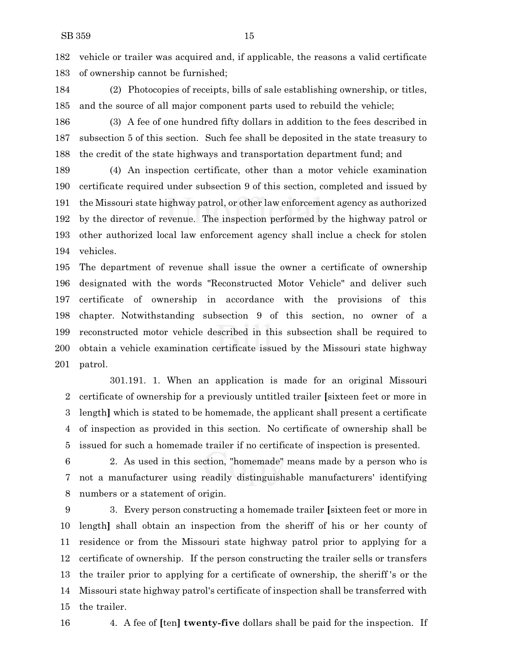vehicle or trailer was acquired and, if applicable, the reasons a valid certificate of ownership cannot be furnished;

- (2) Photocopies of receipts, bills of sale establishing ownership, or titles, and the source of all major component parts used to rebuild the vehicle;
- (3) A fee of one hundred fifty dollars in addition to the fees described in subsection 5 of this section. Such fee shall be deposited in the state treasury to the credit of the state highways and transportation department fund; and

 (4) An inspection certificate, other than a motor vehicle examination certificate required under subsection 9 of this section, completed and issued by the Missouri state highway patrol, or other law enforcement agency as authorized by the director of revenue. The inspection performed by the highway patrol or other authorized local law enforcement agency shall inclue a check for stolen vehicles.

 The department of revenue shall issue the owner a certificate of ownership designated with the words "Reconstructed Motor Vehicle" and deliver such certificate of ownership in accordance with the provisions of this chapter. Notwithstanding subsection 9 of this section, no owner of a reconstructed motor vehicle described in this subsection shall be required to obtain a vehicle examination certificate issued by the Missouri state highway patrol.

301.191. 1. When an application is made for an original Missouri certificate of ownership for a previously untitled trailer **[**sixteen feet or more in length**]** which is stated to be homemade, the applicant shall present a certificate of inspection as provided in this section. No certificate of ownership shall be issued for such a homemade trailer if no certificate of inspection is presented.

 2. As used in this section, "homemade" means made by a person who is not a manufacturer using readily distinguishable manufacturers' identifying numbers or a statement of origin.

 3. Every person constructing a homemade trailer **[**sixteen feet or more in length**]** shall obtain an inspection from the sheriff of his or her county of residence or from the Missouri state highway patrol prior to applying for a certificate of ownership. If the person constructing the trailer sells or transfers the trailer prior to applying for a certificate of ownership, the sheriff 's or the Missouri state highway patrol's certificate of inspection shall be transferred with the trailer.

4. A fee of **[**ten**] twenty-five** dollars shall be paid for the inspection. If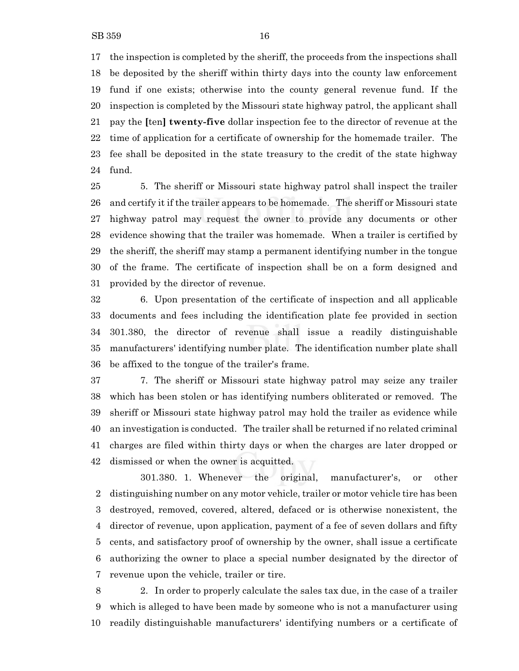the inspection is completed by the sheriff, the proceeds from the inspections shall be deposited by the sheriff within thirty days into the county law enforcement fund if one exists; otherwise into the county general revenue fund. If the inspection is completed by the Missouri state highway patrol, the applicant shall pay the **[**ten**] twenty-five** dollar inspection fee to the director of revenue at the time of application for a certificate of ownership for the homemade trailer. The fee shall be deposited in the state treasury to the credit of the state highway fund.

 5. The sheriff or Missouri state highway patrol shall inspect the trailer and certify it if the trailer appears to be homemade. The sheriff or Missouri state highway patrol may request the owner to provide any documents or other evidence showing that the trailer was homemade. When a trailer is certified by the sheriff, the sheriff may stamp a permanent identifying number in the tongue of the frame. The certificate of inspection shall be on a form designed and provided by the director of revenue.

 6. Upon presentation of the certificate of inspection and all applicable documents and fees including the identification plate fee provided in section 301.380, the director of revenue shall issue a readily distinguishable manufacturers' identifying number plate. The identification number plate shall be affixed to the tongue of the trailer's frame.

 7. The sheriff or Missouri state highway patrol may seize any trailer which has been stolen or has identifying numbers obliterated or removed. The sheriff or Missouri state highway patrol may hold the trailer as evidence while an investigation is conducted. The trailer shall be returned if no related criminal charges are filed within thirty days or when the charges are later dropped or dismissed or when the owner is acquitted.

301.380. 1. Whenever the original, manufacturer's, or other distinguishing number on any motor vehicle, trailer or motor vehicle tire has been destroyed, removed, covered, altered, defaced or is otherwise nonexistent, the director of revenue, upon application, payment of a fee of seven dollars and fifty cents, and satisfactory proof of ownership by the owner, shall issue a certificate authorizing the owner to place a special number designated by the director of revenue upon the vehicle, trailer or tire.

 2. In order to properly calculate the sales tax due, in the case of a trailer which is alleged to have been made by someone who is not a manufacturer using readily distinguishable manufacturers' identifying numbers or a certificate of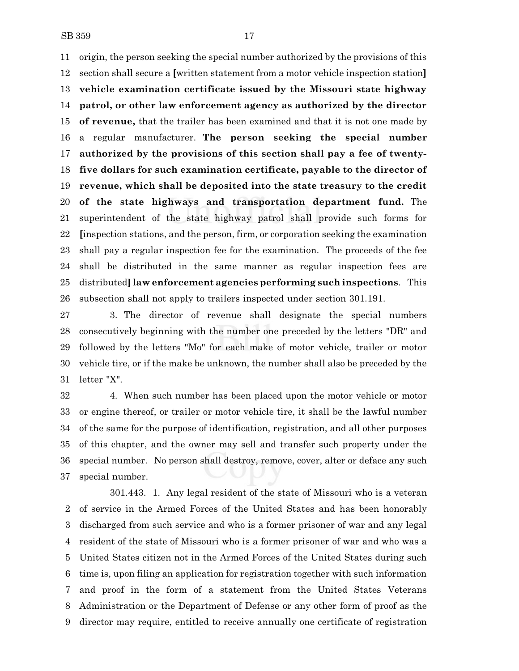origin, the person seeking the special number authorized by the provisions of this section shall secure a **[**written statement from a motor vehicle inspection station**] vehicle examination certificate issued by the Missouri state highway patrol, or other law enforcement agency as authorized by the director of revenue,** that the trailer has been examined and that it is not one made by a regular manufacturer. **The person seeking the special number authorized by the provisions of this section shall pay a fee of twenty- five dollars for such examination certificate, payable to the director of revenue, which shall be deposited into the state treasury to the credit of the state highways and transportation department fund.** The superintendent of the state highway patrol shall provide such forms for **[**inspection stations, and the person, firm, or corporation seeking the examination shall pay a regular inspection fee for the examination. The proceeds of the fee shall be distributed in the same manner as regular inspection fees are distributed**]law enforcement agencies performing such inspections**. This subsection shall not apply to trailers inspected under section 301.191.

 3. The director of revenue shall designate the special numbers consecutively beginning with the number one preceded by the letters "DR" and followed by the letters "Mo" for each make of motor vehicle, trailer or motor vehicle tire, or if the make be unknown, the number shall also be preceded by the letter "X".

 4. When such number has been placed upon the motor vehicle or motor or engine thereof, or trailer or motor vehicle tire, it shall be the lawful number of the same for the purpose of identification, registration, and all other purposes of this chapter, and the owner may sell and transfer such property under the special number. No person shall destroy, remove, cover, alter or deface any such special number.

301.443. 1. Any legal resident of the state of Missouri who is a veteran of service in the Armed Forces of the United States and has been honorably discharged from such service and who is a former prisoner of war and any legal resident of the state of Missouri who is a former prisoner of war and who was a United States citizen not in the Armed Forces of the United States during such time is, upon filing an application for registration together with such information and proof in the form of a statement from the United States Veterans Administration or the Department of Defense or any other form of proof as the director may require, entitled to receive annually one certificate of registration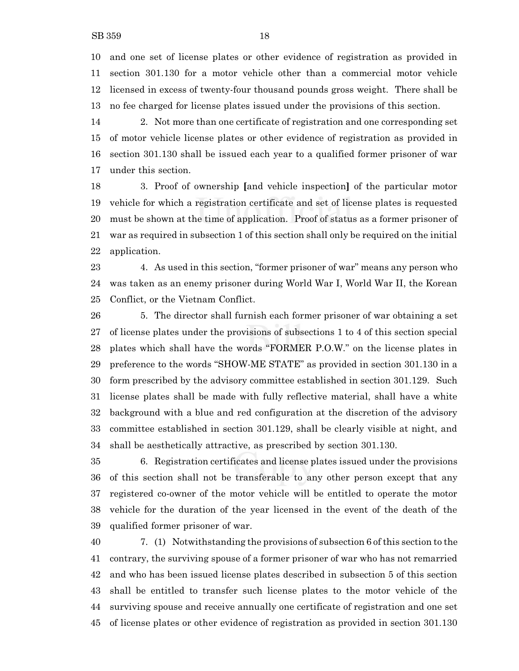and one set of license plates or other evidence of registration as provided in section 301.130 for a motor vehicle other than a commercial motor vehicle licensed in excess of twenty-four thousand pounds gross weight. There shall be no fee charged for license plates issued under the provisions of this section.

 2. Not more than one certificate of registration and one corresponding set of motor vehicle license plates or other evidence of registration as provided in section 301.130 shall be issued each year to a qualified former prisoner of war under this section.

 3. Proof of ownership **[**and vehicle inspection**]** of the particular motor vehicle for which a registration certificate and set of license plates is requested must be shown at the time of application. Proof of status as a former prisoner of war as required in subsection 1 of this section shall only be required on the initial application.

 4. As used in this section, "former prisoner of war" means any person who was taken as an enemy prisoner during World War I, World War II, the Korean Conflict, or the Vietnam Conflict.

 5. The director shall furnish each former prisoner of war obtaining a set of license plates under the provisions of subsections 1 to 4 of this section special plates which shall have the words "FORMER P.O.W." on the license plates in preference to the words "SHOW-ME STATE" as provided in section 301.130 in a form prescribed by the advisory committee established in section 301.129. Such license plates shall be made with fully reflective material, shall have a white background with a blue and red configuration at the discretion of the advisory committee established in section 301.129, shall be clearly visible at night, and shall be aesthetically attractive, as prescribed by section 301.130.

 6. Registration certificates and license plates issued under the provisions of this section shall not be transferable to any other person except that any registered co-owner of the motor vehicle will be entitled to operate the motor vehicle for the duration of the year licensed in the event of the death of the qualified former prisoner of war.

 7. (1) Notwithstanding the provisions of subsection 6 of this section to the contrary, the surviving spouse of a former prisoner of war who has not remarried and who has been issued license plates described in subsection 5 of this section shall be entitled to transfer such license plates to the motor vehicle of the surviving spouse and receive annually one certificate of registration and one set of license plates or other evidence of registration as provided in section 301.130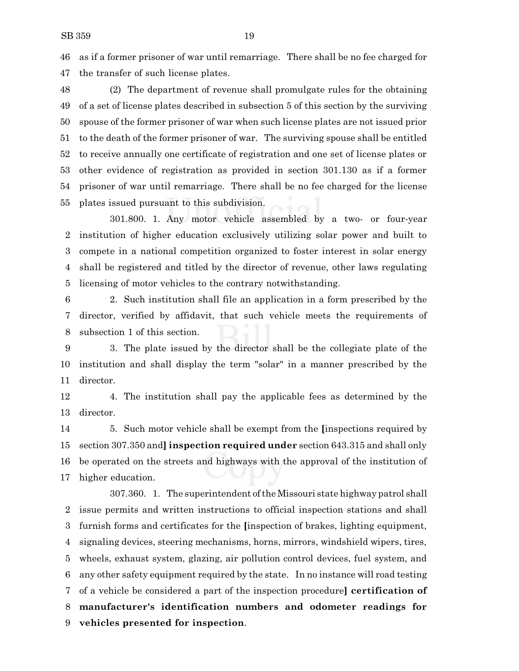as if a former prisoner of war until remarriage. There shall be no fee charged for the transfer of such license plates.

 (2) The department of revenue shall promulgate rules for the obtaining of a set of license plates described in subsection 5 of this section by the surviving spouse of the former prisoner of war when such license plates are not issued prior to the death of the former prisoner of war. The surviving spouse shall be entitled to receive annually one certificate of registration and one set of license plates or other evidence of registration as provided in section 301.130 as if a former prisoner of war until remarriage. There shall be no fee charged for the license plates issued pursuant to this subdivision.

301.800. 1. Any motor vehicle assembled by a two- or four-year institution of higher education exclusively utilizing solar power and built to compete in a national competition organized to foster interest in solar energy shall be registered and titled by the director of revenue, other laws regulating licensing of motor vehicles to the contrary notwithstanding.

 2. Such institution shall file an application in a form prescribed by the director, verified by affidavit, that such vehicle meets the requirements of subsection 1 of this section.

 3. The plate issued by the director shall be the collegiate plate of the institution and shall display the term "solar" in a manner prescribed by the director.

 4. The institution shall pay the applicable fees as determined by the director.

 5. Such motor vehicle shall be exempt from the **[**inspections required by section 307.350 and**] inspection required under** section 643.315 and shall only be operated on the streets and highways with the approval of the institution of higher education.

307.360. 1. The superintendent ofthe Missouri state highway patrol shall issue permits and written instructions to official inspection stations and shall furnish forms and certificates for the **[**inspection of brakes, lighting equipment, signaling devices, steering mechanisms, horns, mirrors, windshield wipers, tires, wheels, exhaust system, glazing, air pollution control devices, fuel system, and any other safety equipment required by the state. In no instance will road testing of a vehicle be considered a part of the inspection procedure**] certification of manufacturer's identification numbers and odometer readings for vehicles presented for inspection**.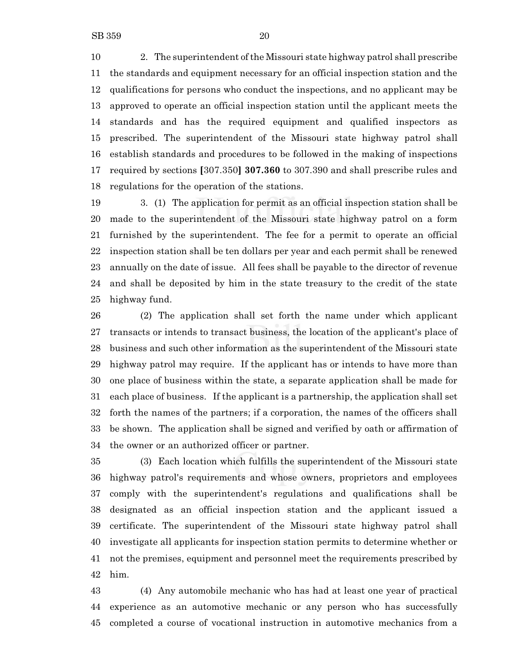10 2. The superintendent of the Missouri state highway patrol shall prescribe the standards and equipment necessary for an official inspection station and the qualifications for persons who conduct the inspections, and no applicant may be approved to operate an official inspection station until the applicant meets the standards and has the required equipment and qualified inspectors as prescribed. The superintendent of the Missouri state highway patrol shall establish standards and procedures to be followed in the making of inspections required by sections **[**307.350**] 307.360** to 307.390 and shall prescribe rules and regulations for the operation of the stations.

 3. (1) The application for permit as an official inspection station shall be made to the superintendent of the Missouri state highway patrol on a form furnished by the superintendent. The fee for a permit to operate an official inspection station shall be ten dollars per year and each permit shall be renewed annually on the date of issue. All fees shall be payable to the director of revenue and shall be deposited by him in the state treasury to the credit of the state highway fund.

 (2) The application shall set forth the name under which applicant transacts or intends to transact business, the location of the applicant's place of business and such other information as the superintendent of the Missouri state highway patrol may require. If the applicant has or intends to have more than one place of business within the state, a separate application shall be made for each place of business. If the applicant is a partnership, the application shall set forth the names of the partners; if a corporation, the names of the officers shall be shown. The application shall be signed and verified by oath or affirmation of the owner or an authorized officer or partner.

 (3) Each location which fulfills the superintendent of the Missouri state highway patrol's requirements and whose owners, proprietors and employees comply with the superintendent's regulations and qualifications shall be designated as an official inspection station and the applicant issued a certificate. The superintendent of the Missouri state highway patrol shall investigate all applicants for inspection station permits to determine whether or not the premises, equipment and personnel meet the requirements prescribed by him.

 (4) Any automobile mechanic who has had at least one year of practical experience as an automotive mechanic or any person who has successfully completed a course of vocational instruction in automotive mechanics from a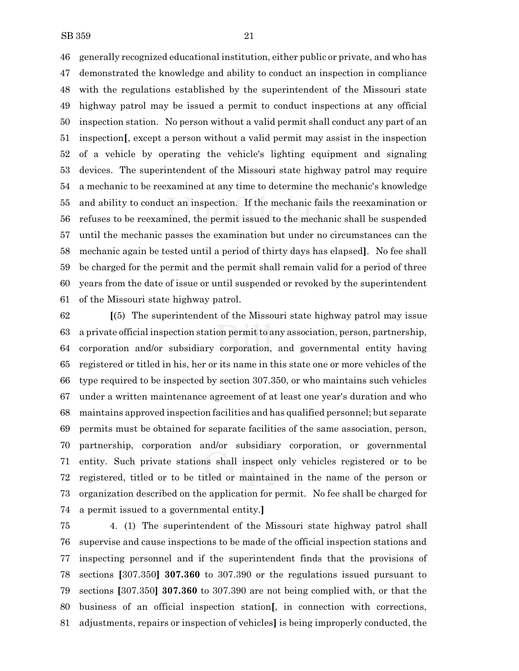generally recognized educational institution, either public or private, and who has demonstrated the knowledge and ability to conduct an inspection in compliance with the regulations established by the superintendent of the Missouri state highway patrol may be issued a permit to conduct inspections at any official inspection station. No person without a valid permit shall conduct any part of an inspection**[**, except a person without a valid permit may assist in the inspection of a vehicle by operating the vehicle's lighting equipment and signaling devices. The superintendent of the Missouri state highway patrol may require a mechanic to be reexamined at any time to determine the mechanic's knowledge and ability to conduct an inspection. If the mechanic fails the reexamination or refuses to be reexamined, the permit issued to the mechanic shall be suspended until the mechanic passes the examination but under no circumstances can the mechanic again be tested until a period of thirty days has elapsed**]**. No fee shall be charged for the permit and the permit shall remain valid for a period of three years from the date of issue or until suspended or revoked by the superintendent of the Missouri state highway patrol.

 **[**(5) The superintendent of the Missouri state highway patrol may issue a private official inspection station permit to any association, person, partnership, corporation and/or subsidiary corporation, and governmental entity having registered or titled in his, her or its name in this state one or more vehicles of the type required to be inspected by section 307.350, or who maintains such vehicles under a written maintenance agreement of at least one year's duration and who maintains approved inspection facilities and has qualified personnel; but separate permits must be obtained for separate facilities of the same association, person, partnership, corporation and/or subsidiary corporation, or governmental entity. Such private stations shall inspect only vehicles registered or to be registered, titled or to be titled or maintained in the name of the person or organization described on the application for permit. No fee shall be charged for a permit issued to a governmental entity.**]**

 4. (1) The superintendent of the Missouri state highway patrol shall supervise and cause inspections to be made of the official inspection stations and inspecting personnel and if the superintendent finds that the provisions of sections **[**307.350**] 307.360** to 307.390 or the regulations issued pursuant to sections **[**307.350**] 307.360** to 307.390 are not being complied with, or that the business of an official inspection station**[**, in connection with corrections, adjustments, repairs or inspection of vehicles**]** is being improperly conducted, the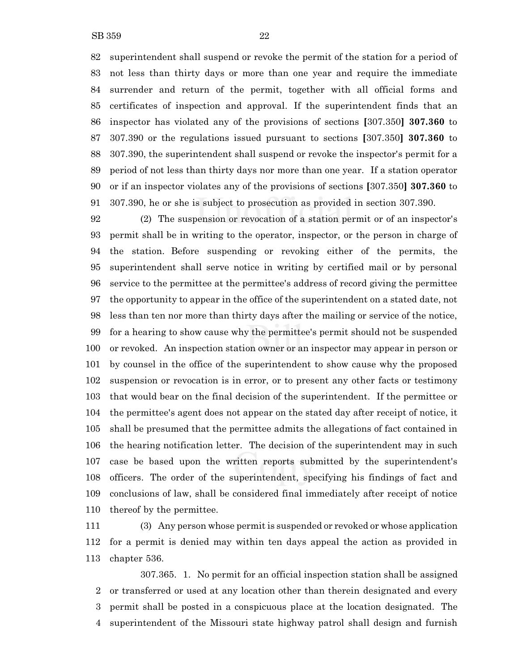superintendent shall suspend or revoke the permit of the station for a period of not less than thirty days or more than one year and require the immediate surrender and return of the permit, together with all official forms and certificates of inspection and approval. If the superintendent finds that an inspector has violated any of the provisions of sections **[**307.350**] 307.360** to 307.390 or the regulations issued pursuant to sections **[**307.350**] 307.360** to 307.390, the superintendent shall suspend or revoke the inspector's permit for a period of not less than thirty days nor more than one year. If a station operator or if an inspector violates any of the provisions of sections **[**307.350**] 307.360** to 307.390, he or she is subject to prosecution as provided in section 307.390.

 (2) The suspension or revocation of a station permit or of an inspector's permit shall be in writing to the operator, inspector, or the person in charge of the station. Before suspending or revoking either of the permits, the superintendent shall serve notice in writing by certified mail or by personal service to the permittee at the permittee's address of record giving the permittee the opportunity to appear in the office of the superintendent on a stated date, not less than ten nor more than thirty days after the mailing or service of the notice, for a hearing to show cause why the permittee's permit should not be suspended or revoked. An inspection station owner or an inspector may appear in person or by counsel in the office of the superintendent to show cause why the proposed suspension or revocation is in error, or to present any other facts or testimony that would bear on the final decision of the superintendent. If the permittee or the permittee's agent does not appear on the stated day after receipt of notice, it shall be presumed that the permittee admits the allegations of fact contained in the hearing notification letter. The decision of the superintendent may in such case be based upon the written reports submitted by the superintendent's officers. The order of the superintendent, specifying his findings of fact and conclusions of law, shall be considered final immediately after receipt of notice thereof by the permittee.

 (3) Any person whose permit is suspended or revoked or whose application for a permit is denied may within ten days appeal the action as provided in chapter 536.

307.365. 1. No permit for an official inspection station shall be assigned or transferred or used at any location other than therein designated and every permit shall be posted in a conspicuous place at the location designated. The superintendent of the Missouri state highway patrol shall design and furnish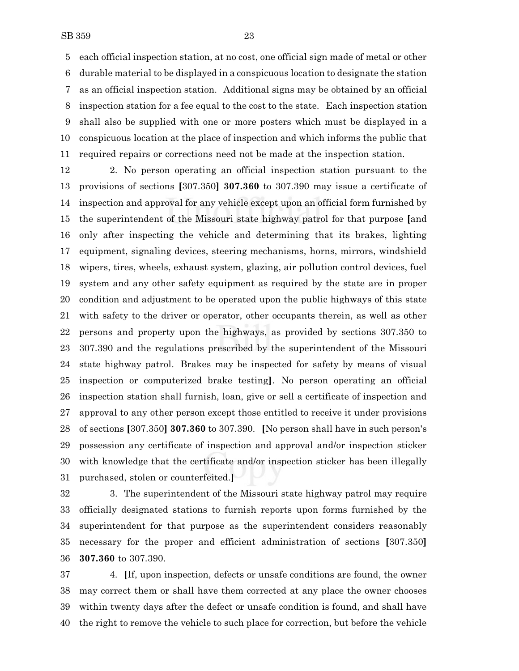each official inspection station, at no cost, one official sign made of metal or other durable material to be displayed in a conspicuous location to designate the station as an official inspection station. Additional signs may be obtained by an official inspection station for a fee equal to the cost to the state. Each inspection station shall also be supplied with one or more posters which must be displayed in a conspicuous location at the place of inspection and which informs the public that required repairs or corrections need not be made at the inspection station.

 2. No person operating an official inspection station pursuant to the provisions of sections **[**307.350**] 307.360** to 307.390 may issue a certificate of inspection and approval for any vehicle except upon an official form furnished by the superintendent of the Missouri state highway patrol for that purpose **[**and only after inspecting the vehicle and determining that its brakes, lighting equipment, signaling devices, steering mechanisms, horns, mirrors, windshield wipers, tires, wheels, exhaust system, glazing, air pollution control devices, fuel system and any other safety equipment as required by the state are in proper condition and adjustment to be operated upon the public highways of this state with safety to the driver or operator, other occupants therein, as well as other persons and property upon the highways, as provided by sections 307.350 to 307.390 and the regulations prescribed by the superintendent of the Missouri state highway patrol. Brakes may be inspected for safety by means of visual inspection or computerized brake testing**]**. No person operating an official inspection station shall furnish, loan, give or sell a certificate of inspection and approval to any other person except those entitled to receive it under provisions of sections **[**307.350**] 307.360** to 307.390. **[**No person shall have in such person's possession any certificate of inspection and approval and/or inspection sticker with knowledge that the certificate and/or inspection sticker has been illegally purchased, stolen or counterfeited.**]**

 3. The superintendent of the Missouri state highway patrol may require officially designated stations to furnish reports upon forms furnished by the superintendent for that purpose as the superintendent considers reasonably necessary for the proper and efficient administration of sections **[**307.350**] 307.360** to 307.390.

 4. **[**If, upon inspection, defects or unsafe conditions are found, the owner may correct them or shall have them corrected at any place the owner chooses within twenty days after the defect or unsafe condition is found, and shall have the right to remove the vehicle to such place for correction, but before the vehicle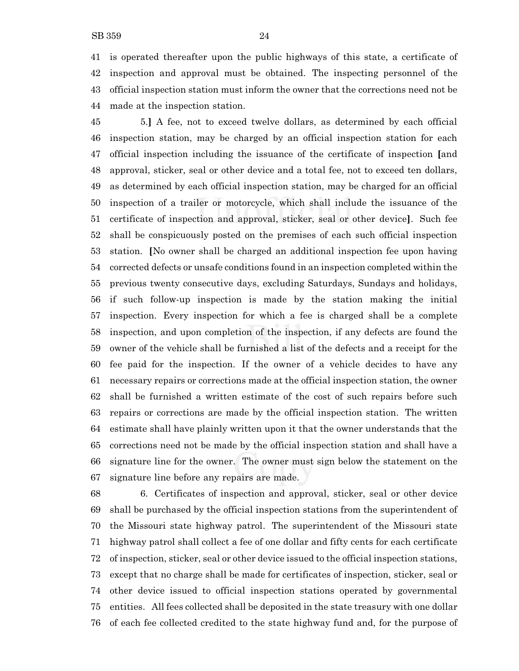is operated thereafter upon the public highways of this state, a certificate of inspection and approval must be obtained. The inspecting personnel of the official inspection station must inform the owner that the corrections need not be made at the inspection station.

 5.**]** A fee, not to exceed twelve dollars, as determined by each official inspection station, may be charged by an official inspection station for each official inspection including the issuance of the certificate of inspection **[**and approval, sticker, seal or other device and a total fee, not to exceed ten dollars, as determined by each official inspection station, may be charged for an official inspection of a trailer or motorcycle, which shall include the issuance of the certificate of inspection and approval, sticker, seal or other device**]**. Such fee shall be conspicuously posted on the premises of each such official inspection station. **[**No owner shall be charged an additional inspection fee upon having corrected defects or unsafe conditions found in an inspection completed within the previous twenty consecutive days, excluding Saturdays, Sundays and holidays, if such follow-up inspection is made by the station making the initial inspection. Every inspection for which a fee is charged shall be a complete inspection, and upon completion of the inspection, if any defects are found the owner of the vehicle shall be furnished a list of the defects and a receipt for the fee paid for the inspection. If the owner of a vehicle decides to have any necessary repairs or corrections made at the official inspection station, the owner shall be furnished a written estimate of the cost of such repairs before such repairs or corrections are made by the official inspection station. The written estimate shall have plainly written upon it that the owner understands that the corrections need not be made by the official inspection station and shall have a signature line for the owner. The owner must sign below the statement on the signature line before any repairs are made.

 6. Certificates of inspection and approval, sticker, seal or other device shall be purchased by the official inspection stations from the superintendent of the Missouri state highway patrol. The superintendent of the Missouri state highway patrol shall collect a fee of one dollar and fifty cents for each certificate of inspection, sticker, seal or other device issued to the official inspection stations, except that no charge shall be made for certificates of inspection, sticker, seal or other device issued to official inspection stations operated by governmental entities. All fees collected shall be deposited in the state treasury with one dollar of each fee collected credited to the state highway fund and, for the purpose of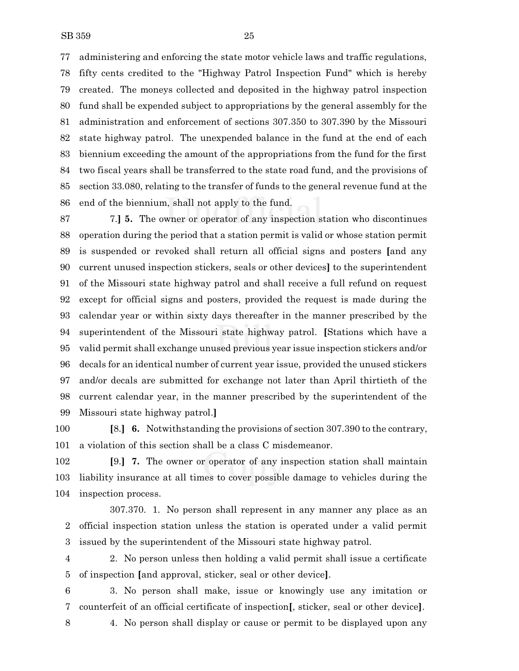administering and enforcing the state motor vehicle laws and traffic regulations, fifty cents credited to the "Highway Patrol Inspection Fund" which is hereby created. The moneys collected and deposited in the highway patrol inspection fund shall be expended subject to appropriations by the general assembly for the administration and enforcement of sections 307.350 to 307.390 by the Missouri state highway patrol. The unexpended balance in the fund at the end of each biennium exceeding the amount of the appropriations from the fund for the first two fiscal years shall be transferred to the state road fund, and the provisions of section 33.080, relating to the transfer of funds to the general revenue fund at the end of the biennium, shall not apply to the fund.

 7.**] 5.** The owner or operator of any inspection station who discontinues operation during the period that a station permit is valid or whose station permit is suspended or revoked shall return all official signs and posters **[**and any current unused inspection stickers, seals or other devices**]** to the superintendent of the Missouri state highway patrol and shall receive a full refund on request except for official signs and posters, provided the request is made during the calendar year or within sixty days thereafter in the manner prescribed by the superintendent of the Missouri state highway patrol. **[**Stations which have a valid permit shall exchange unused previous year issue inspection stickers and/or decals for an identical number of current year issue, provided the unused stickers and/or decals are submitted for exchange not later than April thirtieth of the current calendar year, in the manner prescribed by the superintendent of the Missouri state highway patrol.**]**

 **[**8.**] 6.** Notwithstanding the provisions of section 307.390 to the contrary, a violation of this section shall be a class C misdemeanor.

 **[**9.**] 7.** The owner or operator of any inspection station shall maintain liability insurance at all times to cover possible damage to vehicles during the inspection process.

307.370. 1. No person shall represent in any manner any place as an official inspection station unless the station is operated under a valid permit issued by the superintendent of the Missouri state highway patrol.

 2. No person unless then holding a valid permit shall issue a certificate of inspection **[**and approval, sticker, seal or other device**]**.

 3. No person shall make, issue or knowingly use any imitation or counterfeit of an official certificate of inspection**[**, sticker, seal or other device**]**.

4. No person shall display or cause or permit to be displayed upon any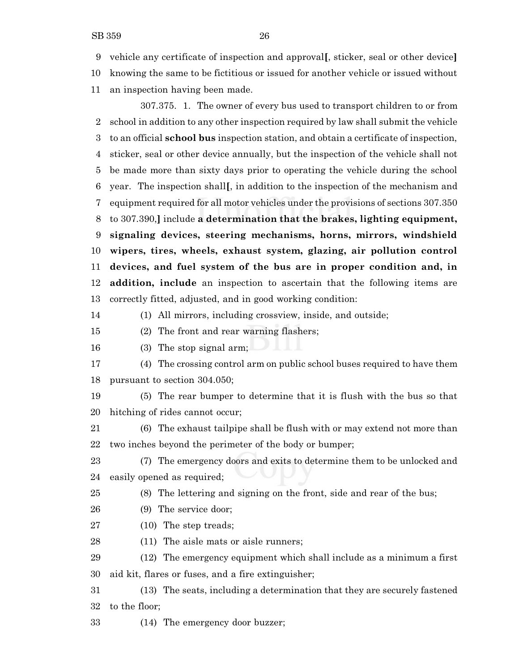vehicle any certificate of inspection and approval**[**, sticker, seal or other device**]**

knowing the same to be fictitious or issued for another vehicle or issued without

an inspection having been made.

307.375. 1. The owner of every bus used to transport children to or from school in addition to any other inspection required by law shall submit the vehicle to an official **school bus** inspection station, and obtain a certificate of inspection, sticker, seal or other device annually, but the inspection of the vehicle shall not be made more than sixty days prior to operating the vehicle during the school year. The inspection shall**[**, in addition to the inspection of the mechanism and equipment required for all motor vehicles under the provisions of sections 307.350 to 307.390,**]** include **a determination that the brakes, lighting equipment, signaling devices, steering mechanisms, horns, mirrors, windshield wipers, tires, wheels, exhaust system, glazing, air pollution control devices, and fuel system of the bus are in proper condition and, in addition, include** an inspection to ascertain that the following items are correctly fitted, adjusted, and in good working condition:

(1) All mirrors, including crossview, inside, and outside;

(2) The front and rear warning flashers;

(3) The stop signal arm;

 (4) The crossing control arm on public school buses required to have them pursuant to section 304.050;

 (5) The rear bumper to determine that it is flush with the bus so that hitching of rides cannot occur;

 (6) The exhaust tailpipe shall be flush with or may extend not more than two inches beyond the perimeter of the body or bumper;

 (7) The emergency doors and exits to determine them to be unlocked and easily opened as required;

(8) The lettering and signing on the front, side and rear of the bus;

- (9) The service door;
- 27 (10) The step treads;

(11) The aisle mats or aisle runners;

 (12) The emergency equipment which shall include as a minimum a first aid kit, flares or fuses, and a fire extinguisher;

 (13) The seats, including a determination that they are securely fastened to the floor;

(14) The emergency door buzzer;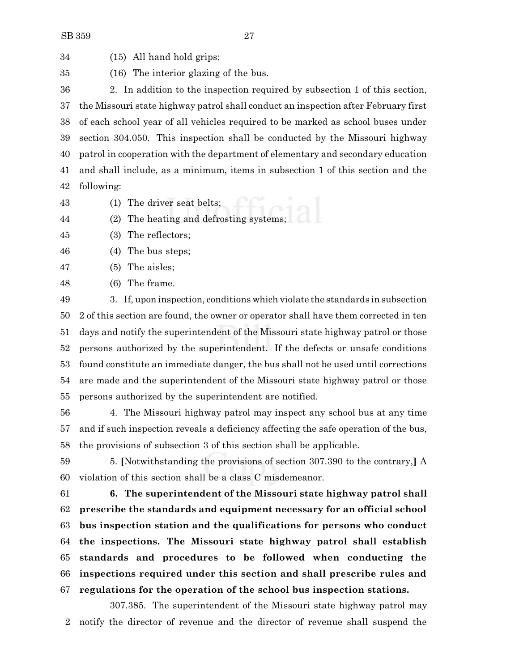(15) All hand hold grips;

(16) The interior glazing of the bus.

 2. In addition to the inspection required by subsection 1 of this section, the Missouri state highway patrol shall conduct an inspection after February first of each school year of all vehicles required to be marked as school buses under section 304.050. This inspection shall be conducted by the Missouri highway patrol in cooperation with the department of elementary and secondary education and shall include, as a minimum, items in subsection 1 of this section and the following:

(1) The driver seat belts;

(2) The heating and defrosting systems;

(3) The reflectors;

(4) The bus steps;

(5) The aisles;

(6) The frame.

 3. If, upon inspection, conditions which violate the standards in subsection 2 of this section are found, the owner or operator shall have them corrected in ten days and notify the superintendent of the Missouri state highway patrol or those persons authorized by the superintendent. If the defects or unsafe conditions found constitute an immediate danger, the bus shall not be used until corrections are made and the superintendent of the Missouri state highway patrol or those persons authorized by the superintendent are notified.

 4. The Missouri highway patrol may inspect any school bus at any time and if such inspection reveals a deficiency affecting the safe operation of the bus, the provisions of subsection 3 of this section shall be applicable.

 5. **[**Notwithstanding the provisions of section 307.390 to the contrary,**]** A violation of this section shall be a class C misdemeanor.

 **6. The superintendent of the Missouri state highway patrol shall prescribe the standards and equipment necessary for an official school bus inspection station and the qualifications for persons who conduct the inspections. The Missouri state highway patrol shall establish standards and procedures to be followed when conducting the inspections required under this section and shall prescribe rules and regulations for the operation of the school bus inspection stations.**

307.385. The superintendent of the Missouri state highway patrol may notify the director of revenue and the director of revenue shall suspend the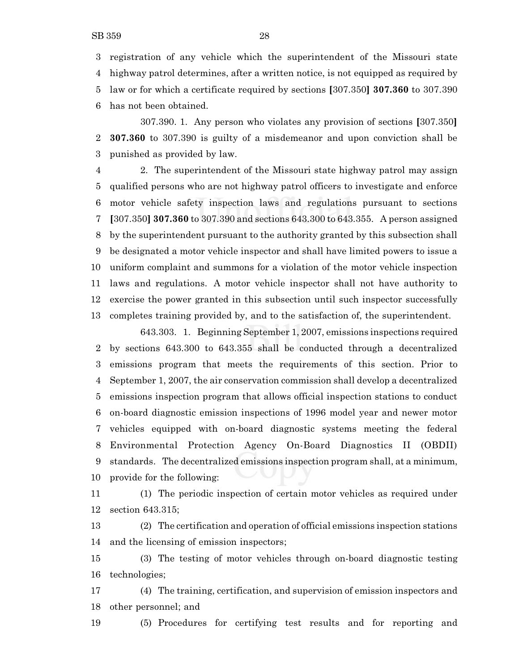registration of any vehicle which the superintendent of the Missouri state highway patrol determines, after a written notice, is not equipped as required by law or for which a certificate required by sections **[**307.350**] 307.360** to 307.390 has not been obtained.

307.390. 1. Any person who violates any provision of sections **[**307.350**] 307.360** to 307.390 is guilty of a misdemeanor and upon conviction shall be punished as provided by law.

 2. The superintendent of the Missouri state highway patrol may assign qualified persons who are not highway patrol officers to investigate and enforce motor vehicle safety inspection laws and regulations pursuant to sections **[**307.350**] 307.360** to 307.390 and sections 643.300 to 643.355. A person assigned by the superintendent pursuant to the authority granted by this subsection shall be designated a motor vehicle inspector and shall have limited powers to issue a uniform complaint and summons for a violation of the motor vehicle inspection laws and regulations. A motor vehicle inspector shall not have authority to exercise the power granted in this subsection until such inspector successfully completes training provided by, and to the satisfaction of, the superintendent.

643.303. 1. Beginning September 1, 2007, emissions inspections required by sections 643.300 to 643.355 shall be conducted through a decentralized emissions program that meets the requirements of this section. Prior to September 1, 2007, the air conservation commission shall develop a decentralized emissions inspection program that allows official inspection stations to conduct on-board diagnostic emission inspections of 1996 model year and newer motor vehicles equipped with on-board diagnostic systems meeting the federal Environmental Protection Agency On-Board Diagnostics II (OBDII) standards. The decentralized emissions inspection program shall, at a minimum, provide for the following:

 (1) The periodic inspection of certain motor vehicles as required under section 643.315;

 (2) The certification and operation of official emissions inspection stations and the licensing of emission inspectors;

 (3) The testing of motor vehicles through on-board diagnostic testing technologies;

 (4) The training, certification, and supervision of emission inspectors and other personnel; and

(5) Procedures for certifying test results and for reporting and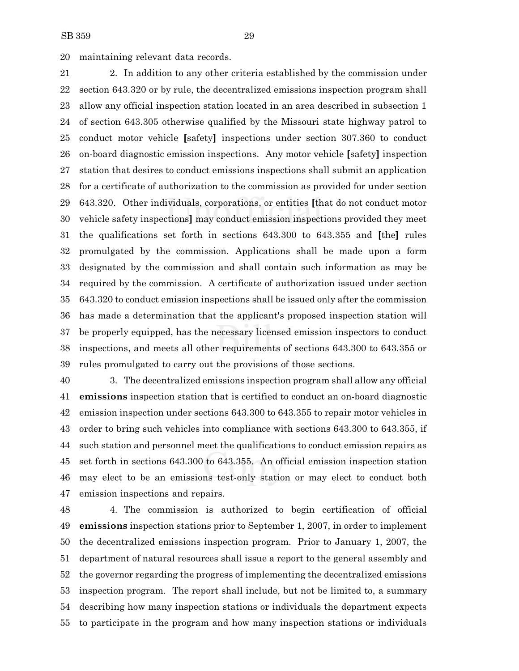maintaining relevant data records.

 2. In addition to any other criteria established by the commission under section 643.320 or by rule, the decentralized emissions inspection program shall allow any official inspection station located in an area described in subsection 1 of section 643.305 otherwise qualified by the Missouri state highway patrol to conduct motor vehicle **[**safety**]** inspections under section 307.360 to conduct on-board diagnostic emission inspections. Any motor vehicle **[**safety**]** inspection station that desires to conduct emissions inspections shall submit an application for a certificate of authorization to the commission as provided for under section 643.320. Other individuals, corporations, or entities **[**that do not conduct motor vehicle safety inspections**]** may conduct emission inspections provided they meet the qualifications set forth in sections 643.300 to 643.355 and **[**the**]** rules promulgated by the commission. Applications shall be made upon a form designated by the commission and shall contain such information as may be required by the commission. A certificate of authorization issued under section 643.320 to conduct emission inspections shall be issued only after the commission has made a determination that the applicant's proposed inspection station will be properly equipped, has the necessary licensed emission inspectors to conduct inspections, and meets all other requirements of sections 643.300 to 643.355 or rules promulgated to carry out the provisions of those sections.

 3. The decentralized emissions inspection program shall allow any official **emissions** inspection station that is certified to conduct an on-board diagnostic emission inspection under sections 643.300 to 643.355 to repair motor vehicles in order to bring such vehicles into compliance with sections 643.300 to 643.355, if such station and personnel meet the qualifications to conduct emission repairs as set forth in sections 643.300 to 643.355. An official emission inspection station may elect to be an emissions test-only station or may elect to conduct both emission inspections and repairs.

 4. The commission is authorized to begin certification of official **emissions** inspection stations prior to September 1, 2007, in order to implement the decentralized emissions inspection program. Prior to January 1, 2007, the department of natural resources shall issue a report to the general assembly and the governor regarding the progress of implementing the decentralized emissions inspection program. The report shall include, but not be limited to, a summary describing how many inspection stations or individuals the department expects to participate in the program and how many inspection stations or individuals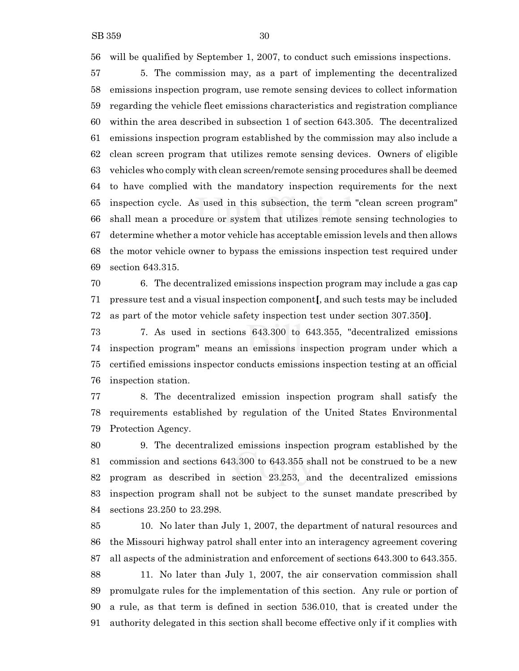will be qualified by September 1, 2007, to conduct such emissions inspections.

 5. The commission may, as a part of implementing the decentralized emissions inspection program, use remote sensing devices to collect information regarding the vehicle fleet emissions characteristics and registration compliance within the area described in subsection 1 of section 643.305. The decentralized emissions inspection program established by the commission may also include a clean screen program that utilizes remote sensing devices. Owners of eligible vehicles who comply with clean screen/remote sensing procedures shall be deemed to have complied with the mandatory inspection requirements for the next inspection cycle. As used in this subsection, the term "clean screen program" shall mean a procedure or system that utilizes remote sensing technologies to determine whether a motor vehicle has acceptable emission levels and then allows the motor vehicle owner to bypass the emissions inspection test required under section 643.315.

 6. The decentralized emissions inspection program may include a gas cap pressure test and a visual inspection component**[**, and such tests may be included as part of the motor vehicle safety inspection test under section 307.350**]**.

 7. As used in sections 643.300 to 643.355, "decentralized emissions inspection program" means an emissions inspection program under which a certified emissions inspector conducts emissions inspection testing at an official inspection station.

 8. The decentralized emission inspection program shall satisfy the requirements established by regulation of the United States Environmental Protection Agency.

 9. The decentralized emissions inspection program established by the commission and sections 643.300 to 643.355 shall not be construed to be a new program as described in section 23.253, and the decentralized emissions inspection program shall not be subject to the sunset mandate prescribed by sections 23.250 to 23.298.

 10. No later than July 1, 2007, the department of natural resources and the Missouri highway patrol shall enter into an interagency agreement covering all aspects of the administration and enforcement of sections 643.300 to 643.355. 11. No later than July 1, 2007, the air conservation commission shall promulgate rules for the implementation of this section. Any rule or portion of a rule, as that term is defined in section 536.010, that is created under the authority delegated in this section shall become effective only if it complies with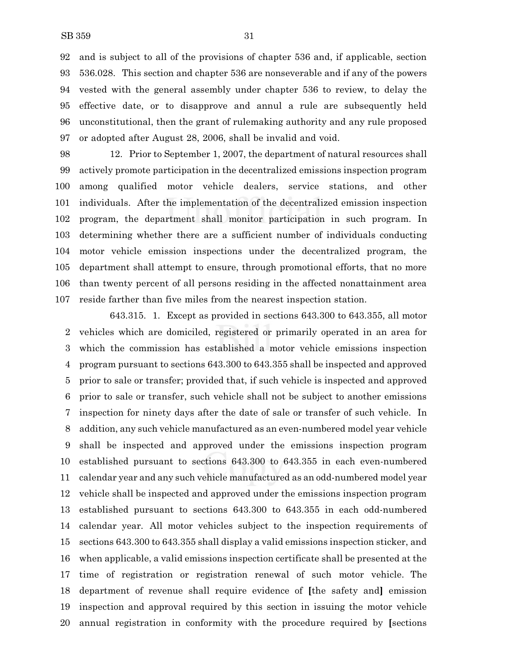and is subject to all of the provisions of chapter 536 and, if applicable, section 536.028. This section and chapter 536 are nonseverable and if any of the powers vested with the general assembly under chapter 536 to review, to delay the effective date, or to disapprove and annul a rule are subsequently held unconstitutional, then the grant of rulemaking authority and any rule proposed or adopted after August 28, 2006, shall be invalid and void.

 12. Prior to September 1, 2007, the department of natural resources shall actively promote participation in the decentralized emissions inspection program among qualified motor vehicle dealers, service stations, and other individuals. After the implementation of the decentralized emission inspection program, the department shall monitor participation in such program. In determining whether there are a sufficient number of individuals conducting motor vehicle emission inspections under the decentralized program, the department shall attempt to ensure, through promotional efforts, that no more than twenty percent of all persons residing in the affected nonattainment area reside farther than five miles from the nearest inspection station.

643.315. 1. Except as provided in sections 643.300 to 643.355, all motor vehicles which are domiciled, registered or primarily operated in an area for which the commission has established a motor vehicle emissions inspection program pursuant to sections 643.300 to 643.355 shall be inspected and approved prior to sale or transfer; provided that, if such vehicle is inspected and approved prior to sale or transfer, such vehicle shall not be subject to another emissions inspection for ninety days after the date of sale or transfer of such vehicle. In addition, any such vehicle manufactured as an even-numbered model year vehicle shall be inspected and approved under the emissions inspection program established pursuant to sections 643.300 to 643.355 in each even-numbered calendar year and any such vehicle manufactured as an odd-numbered model year vehicle shall be inspected and approved under the emissions inspection program established pursuant to sections 643.300 to 643.355 in each odd-numbered calendar year. All motor vehicles subject to the inspection requirements of sections 643.300 to 643.355 shall display a valid emissions inspection sticker, and when applicable, a valid emissions inspection certificate shall be presented at the time of registration or registration renewal of such motor vehicle. The department of revenue shall require evidence of **[**the safety and**]** emission inspection and approval required by this section in issuing the motor vehicle annual registration in conformity with the procedure required by **[**sections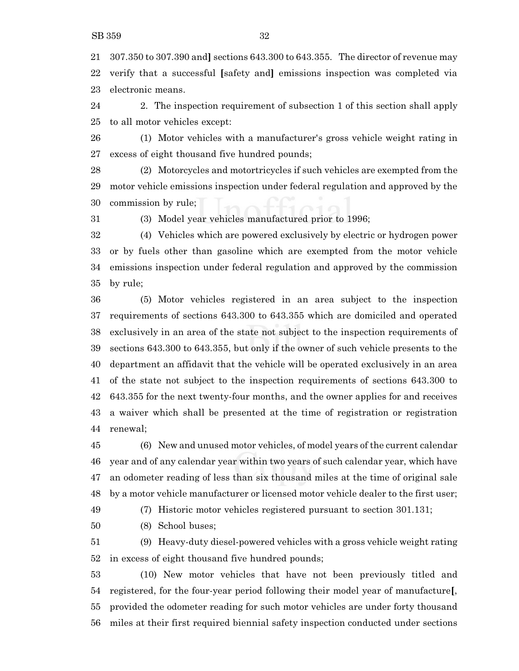307.350 to 307.390 and**]** sections 643.300 to 643.355. The director of revenue may verify that a successful **[**safety and**]** emissions inspection was completed via electronic means.

 2. The inspection requirement of subsection 1 of this section shall apply to all motor vehicles except:

 (1) Motor vehicles with a manufacturer's gross vehicle weight rating in excess of eight thousand five hundred pounds;

 (2) Motorcycles and motortricycles if such vehicles are exempted from the motor vehicle emissions inspection under federal regulation and approved by the commission by rule;

(3) Model year vehicles manufactured prior to 1996;

 (4) Vehicles which are powered exclusively by electric or hydrogen power or by fuels other than gasoline which are exempted from the motor vehicle emissions inspection under federal regulation and approved by the commission by rule;

 (5) Motor vehicles registered in an area subject to the inspection requirements of sections 643.300 to 643.355 which are domiciled and operated exclusively in an area of the state not subject to the inspection requirements of sections 643.300 to 643.355, but only if the owner of such vehicle presents to the department an affidavit that the vehicle will be operated exclusively in an area of the state not subject to the inspection requirements of sections 643.300 to 643.355 for the next twenty-four months, and the owner applies for and receives a waiver which shall be presented at the time of registration or registration renewal;

 (6) New and unused motor vehicles, of model years of the current calendar year and of any calendar year within two years of such calendar year, which have an odometer reading of less than six thousand miles at the time of original sale by a motor vehicle manufacturer or licensed motor vehicle dealer to the first user;

(7) Historic motor vehicles registered pursuant to section 301.131;

(8) School buses;

 (9) Heavy-duty diesel-powered vehicles with a gross vehicle weight rating in excess of eight thousand five hundred pounds;

 (10) New motor vehicles that have not been previously titled and registered, for the four-year period following their model year of manufacture**[**, provided the odometer reading for such motor vehicles are under forty thousand miles at their first required biennial safety inspection conducted under sections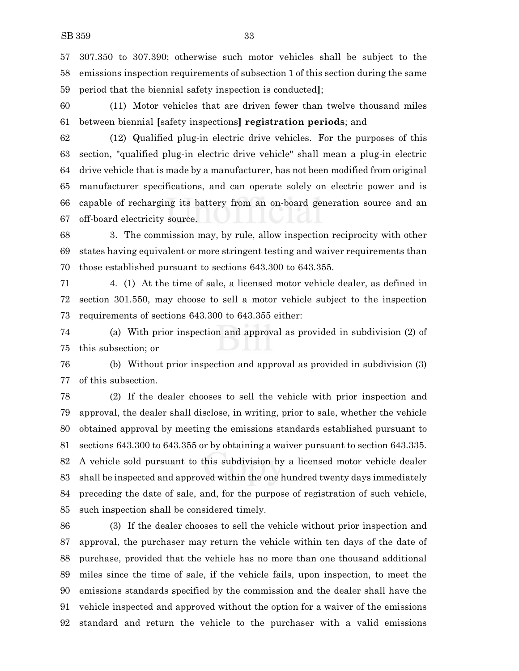307.350 to 307.390; otherwise such motor vehicles shall be subject to the emissions inspection requirements of subsection 1 of this section during the same period that the biennial safety inspection is conducted**]**;

 (11) Motor vehicles that are driven fewer than twelve thousand miles between biennial **[**safety inspections**] registration periods**; and

 (12) Qualified plug-in electric drive vehicles. For the purposes of this section, "qualified plug-in electric drive vehicle" shall mean a plug-in electric drive vehicle that is made by a manufacturer, has not been modified from original manufacturer specifications, and can operate solely on electric power and is capable of recharging its battery from an on-board generation source and an off-board electricity source.

 3. The commission may, by rule, allow inspection reciprocity with other states having equivalent or more stringent testing and waiver requirements than those established pursuant to sections 643.300 to 643.355.

 4. (1) At the time of sale, a licensed motor vehicle dealer, as defined in section 301.550, may choose to sell a motor vehicle subject to the inspection requirements of sections 643.300 to 643.355 either:

 (a) With prior inspection and approval as provided in subdivision (2) of this subsection; or

 (b) Without prior inspection and approval as provided in subdivision (3) of this subsection.

 (2) If the dealer chooses to sell the vehicle with prior inspection and approval, the dealer shall disclose, in writing, prior to sale, whether the vehicle obtained approval by meeting the emissions standards established pursuant to sections 643.300 to 643.355 or by obtaining a waiver pursuant to section 643.335. A vehicle sold pursuant to this subdivision by a licensed motor vehicle dealer shall be inspected and approved within the one hundred twenty days immediately preceding the date of sale, and, for the purpose of registration of such vehicle, such inspection shall be considered timely.

 (3) If the dealer chooses to sell the vehicle without prior inspection and approval, the purchaser may return the vehicle within ten days of the date of purchase, provided that the vehicle has no more than one thousand additional miles since the time of sale, if the vehicle fails, upon inspection, to meet the emissions standards specified by the commission and the dealer shall have the vehicle inspected and approved without the option for a waiver of the emissions standard and return the vehicle to the purchaser with a valid emissions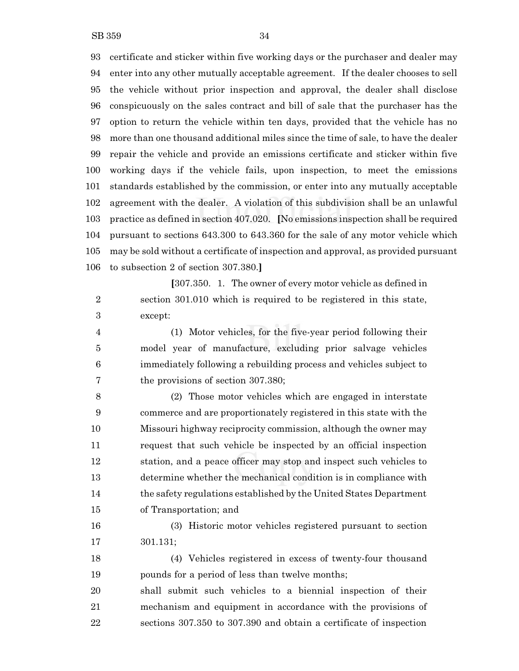certificate and sticker within five working days or the purchaser and dealer may enter into any other mutually acceptable agreement. If the dealer chooses to sell the vehicle without prior inspection and approval, the dealer shall disclose conspicuously on the sales contract and bill of sale that the purchaser has the option to return the vehicle within ten days, provided that the vehicle has no more than one thousand additional miles since the time of sale, to have the dealer repair the vehicle and provide an emissions certificate and sticker within five working days if the vehicle fails, upon inspection, to meet the emissions standards established by the commission, or enter into any mutually acceptable agreement with the dealer. A violation of this subdivision shall be an unlawful practice as defined in section 407.020. **[**No emissions inspection shall be required pursuant to sections 643.300 to 643.360 for the sale of any motor vehicle which may be sold without a certificate of inspection and approval, as provided pursuant to subsection 2 of section 307.380.**]**

**[**307.350. 1. The owner of every motor vehicle as defined in section 301.010 which is required to be registered in this state, except:

 (1) Motor vehicles, for the five-year period following their model year of manufacture, excluding prior salvage vehicles immediately following a rebuilding process and vehicles subject to the provisions of section 307.380;

 (2) Those motor vehicles which are engaged in interstate commerce and are proportionately registered in this state with the Missouri highway reciprocity commission, although the owner may request that such vehicle be inspected by an official inspection station, and a peace officer may stop and inspect such vehicles to determine whether the mechanical condition is in compliance with the safety regulations established by the United States Department of Transportation; and

 (3) Historic motor vehicles registered pursuant to section 301.131;

 (4) Vehicles registered in excess of twenty-four thousand pounds for a period of less than twelve months;

 shall submit such vehicles to a biennial inspection of their mechanism and equipment in accordance with the provisions of sections 307.350 to 307.390 and obtain a certificate of inspection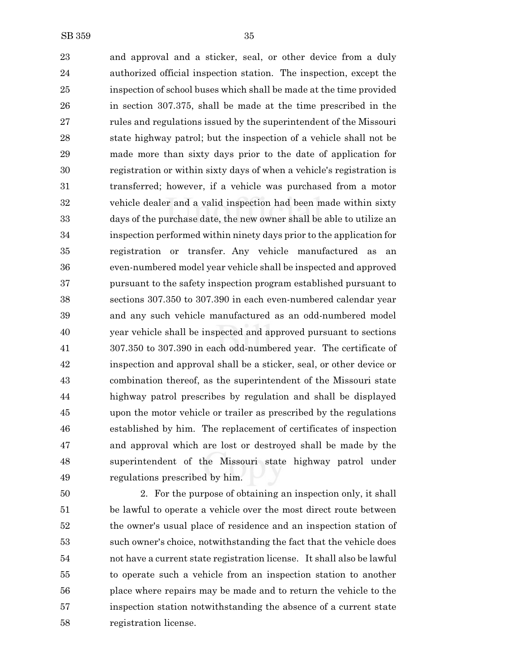and approval and a sticker, seal, or other device from a duly authorized official inspection station. The inspection, except the inspection of school buses which shall be made at the time provided in section 307.375, shall be made at the time prescribed in the rules and regulations issued by the superintendent of the Missouri state highway patrol; but the inspection of a vehicle shall not be made more than sixty days prior to the date of application for registration or within sixty days of when a vehicle's registration is transferred; however, if a vehicle was purchased from a motor vehicle dealer and a valid inspection had been made within sixty days of the purchase date, the new owner shall be able to utilize an inspection performed within ninety days prior to the application for registration or transfer. Any vehicle manufactured as an even-numbered model year vehicle shall be inspected and approved pursuant to the safety inspection program established pursuant to sections 307.350 to 307.390 in each even-numbered calendar year and any such vehicle manufactured as an odd-numbered model year vehicle shall be inspected and approved pursuant to sections 307.350 to 307.390 in each odd-numbered year. The certificate of inspection and approval shall be a sticker, seal, or other device or combination thereof, as the superintendent of the Missouri state highway patrol prescribes by regulation and shall be displayed upon the motor vehicle or trailer as prescribed by the regulations established by him. The replacement of certificates of inspection and approval which are lost or destroyed shall be made by the superintendent of the Missouri state highway patrol under regulations prescribed by him.

 2. For the purpose of obtaining an inspection only, it shall be lawful to operate a vehicle over the most direct route between the owner's usual place of residence and an inspection station of such owner's choice, notwithstanding the fact that the vehicle does not have a current state registration license. It shall also be lawful to operate such a vehicle from an inspection station to another place where repairs may be made and to return the vehicle to the inspection station notwithstanding the absence of a current state registration license.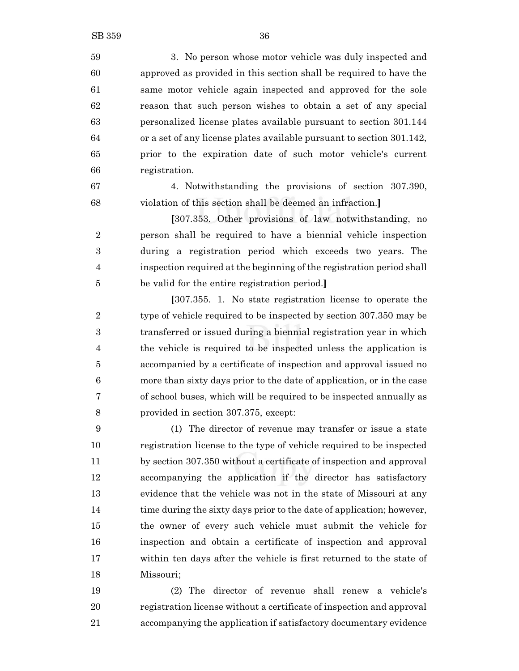3. No person whose motor vehicle was duly inspected and approved as provided in this section shall be required to have the same motor vehicle again inspected and approved for the sole reason that such person wishes to obtain a set of any special personalized license plates available pursuant to section 301.144 or a set of any license plates available pursuant to section 301.142, prior to the expiration date of such motor vehicle's current registration.

 4. Notwithstanding the provisions of section 307.390, violation of this section shall be deemed an infraction.**]**

**[**307.353. Other provisions of law notwithstanding, no person shall be required to have a biennial vehicle inspection during a registration period which exceeds two years. The inspection required at the beginning of the registration period shall be valid for the entire registration period.**]**

**[**307.355. 1. No state registration license to operate the type of vehicle required to be inspected by section 307.350 may be transferred or issued during a biennial registration year in which the vehicle is required to be inspected unless the application is accompanied by a certificate of inspection and approval issued no more than sixty days prior to the date of application, or in the case of school buses, which will be required to be inspected annually as provided in section 307.375, except:

 (1) The director of revenue may transfer or issue a state registration license to the type of vehicle required to be inspected by section 307.350 without a certificate of inspection and approval accompanying the application if the director has satisfactory evidence that the vehicle was not in the state of Missouri at any 14 time during the sixty days prior to the date of application; however, the owner of every such vehicle must submit the vehicle for inspection and obtain a certificate of inspection and approval within ten days after the vehicle is first returned to the state of Missouri;

 (2) The director of revenue shall renew a vehicle's registration license without a certificate of inspection and approval accompanying the application if satisfactory documentary evidence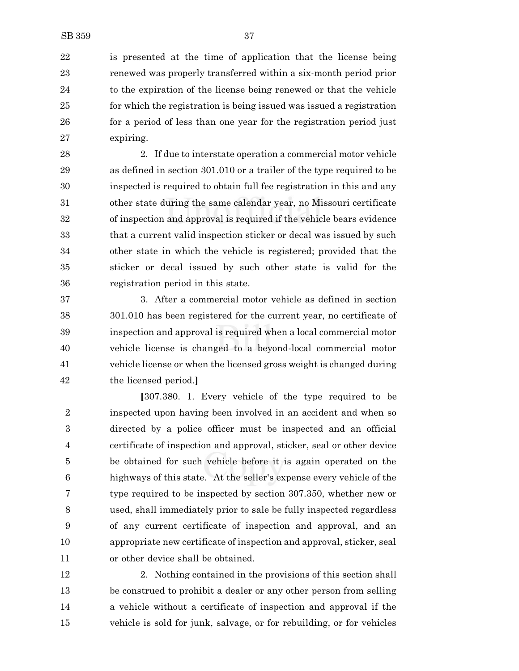is presented at the time of application that the license being renewed was properly transferred within a six-month period prior to the expiration of the license being renewed or that the vehicle for which the registration is being issued was issued a registration 26 for a period of less than one year for the registration period just expiring.

 2. If due to interstate operation a commercial motor vehicle as defined in section 301.010 or a trailer of the type required to be inspected is required to obtain full fee registration in this and any other state during the same calendar year, no Missouri certificate of inspection and approval is required if the vehicle bears evidence that a current valid inspection sticker or decal was issued by such other state in which the vehicle is registered; provided that the sticker or decal issued by such other state is valid for the registration period in this state.

 3. After a commercial motor vehicle as defined in section 301.010 has been registered for the current year, no certificate of inspection and approval is required when a local commercial motor vehicle license is changed to a beyond-local commercial motor vehicle license or when the licensed gross weight is changed during the licensed period.**]**

**[**307.380. 1. Every vehicle of the type required to be inspected upon having been involved in an accident and when so directed by a police officer must be inspected and an official certificate of inspection and approval, sticker, seal or other device be obtained for such vehicle before it is again operated on the highways of this state. At the seller's expense every vehicle of the type required to be inspected by section 307.350, whether new or used, shall immediately prior to sale be fully inspected regardless of any current certificate of inspection and approval, and an appropriate new certificate of inspection and approval, sticker, seal or other device shall be obtained.

 2. Nothing contained in the provisions of this section shall be construed to prohibit a dealer or any other person from selling a vehicle without a certificate of inspection and approval if the vehicle is sold for junk, salvage, or for rebuilding, or for vehicles